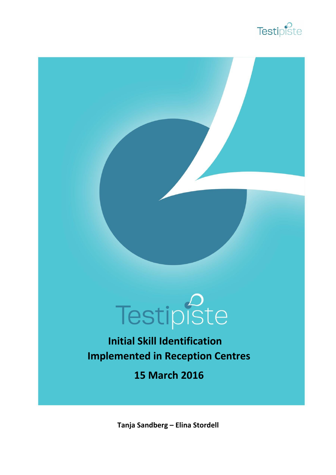



**Initial Skill Identification Implemented in Reception Centres**

**15 March 2016**

**Tanja Sandberg – Elina Stordell**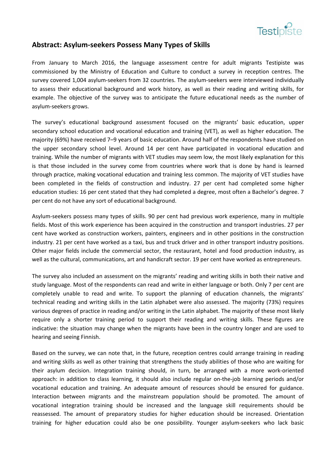

## **Abstract: Asylum‐seekers Possess Many Types of Skills**

From January to March 2016, the language assessment centre for adult migrants Testipiste was commissioned by the Ministry of Education and Culture to conduct a survey in reception centres. The survey covered 1,004 asylum-seekers from 32 countries. The asylum-seekers were interviewed individually to assess their educational background and work history, as well as their reading and writing skills, for example. The objective of the survey was to anticipate the future educational needs as the number of asylum‐seekers grows.

The survey's educational background assessment focused on the migrants' basic education, upper secondary school education and vocational education and training (VET), as well as higher education. The majority (69%) have received 7–9 years of basic education. Around half of the respondents have studied on the upper secondary school level. Around 14 per cent have participated in vocational education and training. While the number of migrants with VET studies may seem low, the most likely explanation for this is that those included in the survey come from countries where work that is done by hand is learned through practice, making vocational education and training less common. The majority of VET studies have been completed in the fields of construction and industry. 27 per cent had completed some higher education studies: 16 per cent stated that they had completed a degree, most often a Bachelor's degree. 7 per cent do not have any sort of educational background.

Asylum‐seekers possess many types of skills. 90 per cent had previous work experience, many in multiple fields. Most of this work experience has been acquired in the construction and transport industries. 27 per cent have worked as construction workers, painters, engineers and in other positions in the construction industry. 21 per cent have worked as a taxi, bus and truck driver and in other transport industry positions. Other major fields include the commercial sector, the restaurant, hotel and food production industry, as well as the cultural, communications, art and handicraft sector. 19 per cent have worked as entrepreneurs.

The survey also included an assessment on the migrants' reading and writing skills in both their native and study language. Most of the respondents can read and write in either language or both. Only 7 per cent are completely unable to read and write. To support the planning of education channels, the migrants' technical reading and writing skills in the Latin alphabet were also assessed. The majority (73%) requires various degrees of practice in reading and/or writing in the Latin alphabet. The majority of these most likely require only a shorter training period to support their reading and writing skills. These figures are indicative: the situation may change when the migrants have been in the country longer and are used to hearing and seeing Finnish.

Based on the survey, we can note that, in the future, reception centres could arrange training in reading and writing skills as well as other training that strengthens the study abilities of those who are waiting for their asylum decision. Integration training should, in turn, be arranged with a more work‐oriented approach: in addition to class learning, it should also include regular on-the-job learning periods and/or vocational education and training. An adequate amount of resources should be ensured for guidance. Interaction between migrants and the mainstream population should be promoted. The amount of vocational integration training should be increased and the language skill requirements should be reassessed. The amount of preparatory studies for higher education should be increased. Orientation training for higher education could also be one possibility. Younger asylum‐seekers who lack basic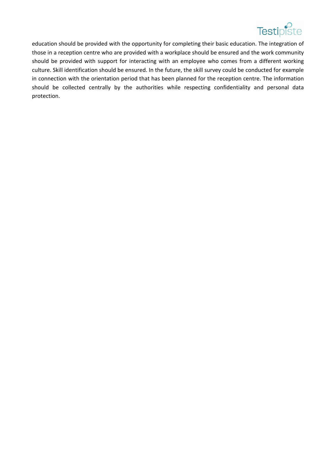

 education should be provided with the opportunity for completing their basic education. The integration of those in a reception centre who are provided with a workplace should be ensured and the work community should be provided with support for interacting with an employee who comes from a different working culture. Skill identification should be ensured. In the future, the skill survey could be conducted for example in connection with the orientation period that has been planned for the reception centre. The information should be collected centrally by the authorities while respecting confidentiality and personal data protection.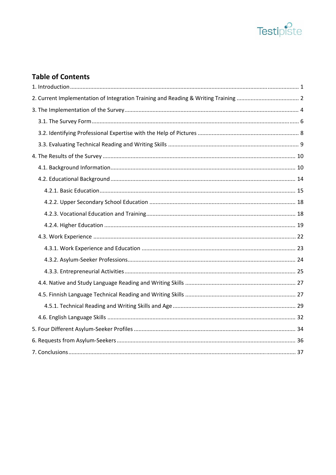

# **Table of Contents**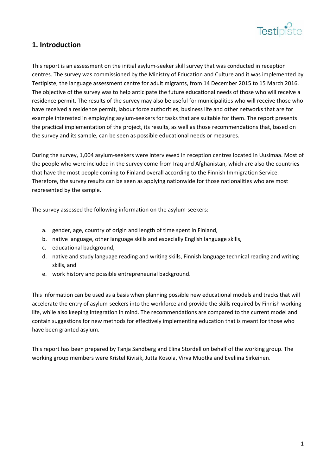

# **1. Introduction**

This report is an assessment on the initial asylum‐seeker skill survey that was conducted in reception centres. The survey was commissioned by the Ministry of Education and Culture and it was implemented by Testipiste, the language assessment centre for adult migrants, from 14 December 2015 to 15 March 2016. The objective of the survey was to help anticipate the future educational needs of those who will receive a residence permit. The results of the survey may also be useful for municipalities who will receive those who have received a residence permit, labour force authorities, business life and other networks that are for example interested in employing asylum‐seekers for tasks that are suitable for them. The report presents the practical implementation of the project, its results, as well as those recommendations that, based on the survey and its sample, can be seen as possible educational needs or measures.

During the survey, 1,004 asylum‐seekers were interviewed in reception centres located in Uusimaa. Most of the people who were included in the survey come from Iraq and Afghanistan, which are also the countries that have the most people coming to Finland overall according to the Finnish Immigration Service. Therefore, the survey results can be seen as applying nationwide for those nationalities who are most represented by the sample.

The survey assessed the following information on the asylum‐seekers:

- a. gender, age, country of origin and length of time spent in Finland,
- b. native language, other language skills and especially English language skills,
- c. educational background,
- d. native and study language reading and writing skills, Finnish language technical reading and writing skills, and
- e. work history and possible entrepreneurial background.

This information can be used as a basis when planning possible new educational models and tracks that will accelerate the entry of asylum‐seekers into the workforce and provide the skills required by Finnish working life, while also keeping integration in mind. The recommendations are compared to the current model and contain suggestions for new methods for effectively implementing education that is meant for those who have been granted asylum.

This report has been prepared by Tanja Sandberg and Elina Stordell on behalf of the working group. The working group members were Kristel Kivisik, Jutta Kosola, Virva Muotka and Eveliina Sirkeinen.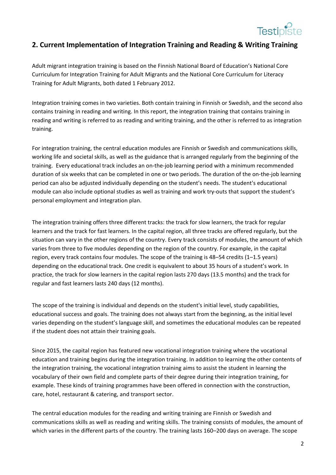

#### **2. Current Implementation of Integration Training and Reading & Writing Training**

Adult migrant integration training is based on the Finnish National Board of Education's National Core Curriculum for Integration Training for Adult Migrants and the National Core Curriculum for Literacy Training for Adult Migrants, both dated 1 February 2012.

Integration training comes in two varieties. Both contain training in Finnish or Swedish, and the second also contains training in reading and writing. In this report, the integration training that contains training in reading and writing is referred to as reading and writing training, and the other is referred to as integration training.

For integration training, the central education modules are Finnish or Swedish and communications skills, working life and societal skills, as well as the guidance that is arranged regularly from the beginning of the training. Every educational track includes an on‐the‐job learning period with a minimum recommended duration of six weeks that can be completed in one or two periods. The duration of the on‐the‐job learning period can also be adjusted individually depending on the student's needs. The student's educational module can also include optional studies as well as training and work try-outs that support the student's personal employment and integration plan.

The integration training offers three different tracks: the track for slow learners, the track for regular learners and the track for fast learners. In the capital region, all three tracks are offered regularly, but the situation can vary in the other regions of the country. Every track consists of modules, the amount of which varies from three to five modules depending on the region of the country. For example, in the capital region, every track contains four modules. The scope of the training is 48–54 credits (1–1.5 years) depending on the educational track. One credit is equivalent to about 35 hours of a student's work. In practice, the track for slow learners in the capital region lasts 270 days (13.5 months) and the track for regular and fast learners lasts 240 days (12 months).

The scope of the training is individual and depends on the student's initial level, study capabilities, educational success and goals. The training does not always start from the beginning, as the initial level varies depending on the student's language skill, and sometimes the educational modules can be repeated if the student does not attain their training goals.

Since 2015, the capital region has featured new vocational integration training where the vocational education and training begins during the integration training. In addition to learning the other contents of the integration training, the vocational integration training aims to assist the student in learning the vocabulary of their own field and complete parts of their degree during their integration training, for example. These kinds of training programmes have been offered in connection with the construction, care, hotel, restaurant & catering, and transport sector.

The central education modules for the reading and writing training are Finnish or Swedish and communications skills as well as reading and writing skills. The training consists of modules, the amount of which varies in the different parts of the country. The training lasts 160–200 days on average. The scope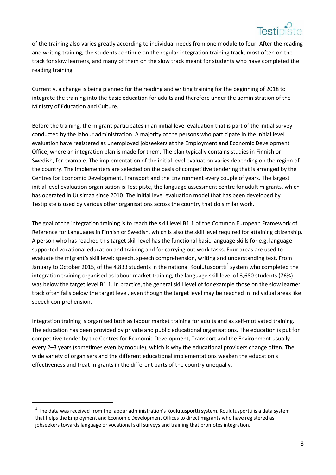

 of the training also varies greatly according to individual needs from one module to four. After the reading and writing training, the students continue on the regular integration training track, most often on the track for slow learners, and many of them on the slow track meant for students who have completed the reading training.

Currently, a change is being planned for the reading and writing training for the beginning of 2018 to integrate the training into the basic education for adults and therefore under the administration of the Ministry of Education and Culture.

Before the training, the migrant participates in an initial level evaluation that is part of the initial survey conducted by the labour administration. A majority of the persons who participate in the initial level evaluation have registered as unemployed jobseekers at the Employment and Economic Development Office, where an integration plan is made for them. The plan typically contains studies in Finnish or Swedish, for example. The implementation of the initial level evaluation varies depending on the region of the country. The implementers are selected on the basis of competitive tendering that is arranged by the Centres for Economic Development, Transport and the Environment every couple of years. The largest initial level evaluation organisation is Testipiste, the language assessment centre for adult migrants, which has operated in Uusimaa since 2010. The initial level evaluation model that has been developed by Testipiste is used by various other organisations across the country that do similar work.

The goal of the integration training is to reach the skill level B1.1 of the Common European Framework of Reference for Languages in Finnish or Swedish, which is also the skill level required for attaining citizenship. A person who has reached this target skill level has the functional basic language skills for e.g. language‐ supported vocational education and training and for carrying out work tasks. Four areas are used to evaluate the migrant's skill level: speech, speech comprehension, writing and understanding text. From January to October 2015, of the 4,833 students in the national Koulutusportti<sup>1</sup> system who completed the integration training organised as labour market training, the language skill level of 3,680 students (76%) was below the target level B1.1. In practice, the general skill level of for example those on the slow learner track often falls below the target level, even though the target level may be reached in individual areas like speech comprehension.

Integration training is organised both as labour market training for adults and as self‐motivated training. The education has been provided by private and public educational organisations. The education is put for competitive tender by the Centres for Economic Development, Transport and the Environment usually every 2–3 years (sometimes even by module), which is why the educational providers change often. The wide variety of organisers and the different educational implementations weaken the education's effectiveness and treat migrants in the different parts of the country unequally.

 $1$  The data was received from the labour administration's Koulutusportti system. Koulutusportti is a data system that helps the Employment and Economic Development Offices to direct migrants who have registered as jobseekers towards language or vocational skill surveys and training that promotes integration.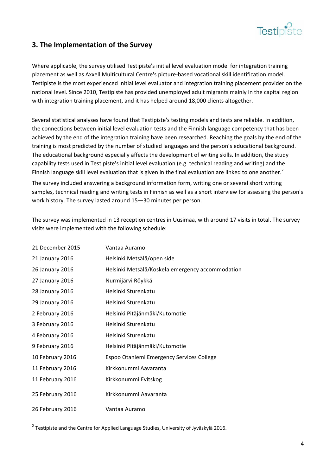

# **3. The Implementation of the Survey**

Where applicable, the survey utilised Testipiste's initial level evaluation model for integration training placement as well as Axxell Multicultural Centre's picture‐based vocational skill identification model. Testipiste is the most experienced initial level evaluator and integration training placement provider on the national level. Since 2010, Testipiste has provided unemployed adult migrants mainly in the capital region with integration training placement, and it has helped around 18,000 clients altogether.

Several statistical analyses have found that Testipiste's testing models and tests are reliable. In addition, the connections between initial level evaluation tests and the Finnish language competency that has been achieved by the end of the integration training have been researched. Reaching the goals by the end of the training is most predicted by the number of studied languages and the person's educational background. The educational background especially affects the development of writing skills. In addition, the study capability tests used in Testipiste's initial level evaluation (e.g. technical reading and writing) and the Finnish language skill level evaluation that is given in the final evaluation are linked to one another.<sup>2</sup>

The survey included answering a background information form, writing one or several short writing samples, technical reading and writing tests in Finnish as well as a short interview for assessing the person's work history. The survey lasted around 15—30 minutes per person.

The survey was implemented in 13 reception centres in Uusimaa, with around 17 visits in total. The survey visits were implemented with the following schedule:

| 21 December 2015 | Vantaa Auramo                                    |
|------------------|--------------------------------------------------|
| 21 January 2016  | Helsinki Metsälä/open side                       |
| 26 January 2016  | Helsinki Metsälä/Koskela emergency accommodation |
| 27 January 2016  | Nurmijärvi Röykkä                                |
| 28 January 2016  | Helsinki Sturenkatu                              |
| 29 January 2016  | Helsinki Sturenkatu                              |
| 2 February 2016  | Helsinki Pitäjänmäki/Kutomotie                   |
| 3 February 2016  | Helsinki Sturenkatu                              |
| 4 February 2016  | Helsinki Sturenkatu                              |
| 9 February 2016  | Helsinki Pitäjänmäki/Kutomotie                   |
| 10 February 2016 | Espoo Otaniemi Emergency Services College        |
| 11 February 2016 | Kirkkonummi Aavaranta                            |
| 11 February 2016 | Kirkkonummi Evitskog                             |
| 25 February 2016 | Kirkkonummi Aavaranta                            |
| 26 February 2016 | Vantaa Auramo                                    |

 $2$  Testipiste and the Centre for Applied Language Studies, University of Jyväskylä 2016.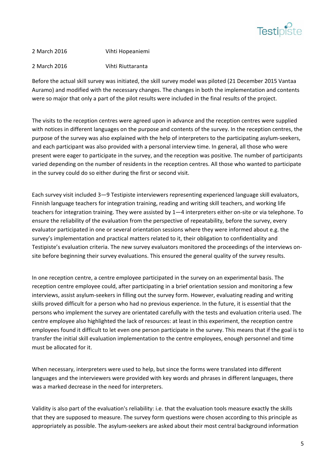

### 2 March 2016 Vihti Hopeaniemi

#### 2 March 2016 Vihti Riuttaranta

Before the actual skill survey was initiated, the skill survey model was piloted (21 December 2015 Vantaa Auramo) and modified with the necessary changes. The changes in both the implementation and contents were so major that only a part of the pilot results were included in the final results of the project.

The visits to the reception centres were agreed upon in advance and the reception centres were supplied with notices in different languages on the purpose and contents of the survey. In the reception centres, the purpose of the survey was also explained with the help of interpreters to the participating asylum‐seekers, and each participant was also provided with a personal interview time. In general, all those who were present were eager to participate in the survey, and the reception was positive. The number of participants varied depending on the number of residents in the reception centres. All those who wanted to participate in the survey could do so either during the first or second visit.

Each survey visit included 3—9 Testipiste interviewers representing experienced language skill evaluators, Finnish language teachers for integration training, reading and writing skill teachers, and working life teachers for integration training. They were assisted by 1—4 interpreters either on‐site or via telephone. To ensure the reliability of the evaluation from the perspective of repeatability, before the survey, every evaluator participated in one or several orientation sessions where they were informed about e.g. the survey's implementation and practical matters related to it, their obligation to confidentiality and Testipiste's evaluation criteria. The new survey evaluators monitored the proceedings of the interviews on‐ site before beginning their survey evaluations. This ensured the general quality of the survey results.

In one reception centre, a centre employee participated in the survey on an experimental basis. The reception centre employee could, after participating in a brief orientation session and monitoring a few interviews, assist asylum‐seekers in filling out the survey form. However, evaluating reading and writing skills proved difficult for a person who had no previous experience. In the future, it is essential that the persons who implement the survey are orientated carefully with the tests and evaluation criteria used. The centre employee also highlighted the lack of resources: at least in this experiment, the reception centre employees found it difficult to let even one person participate in the survey. This means that if the goal is to transfer the initial skill evaluation implementation to the centre employees, enough personnel and time must be allocated for it.

When necessary, interpreters were used to help, but since the forms were translated into different languages and the interviewers were provided with key words and phrases in different languages, there was a marked decrease in the need for interpreters.

Validity is also part of the evaluation's reliability: i.e. that the evaluation tools measure exactly the skills that they are supposed to measure. The survey form questions were chosen according to this principle as appropriately as possible. The asylum‐seekers are asked about their most central background information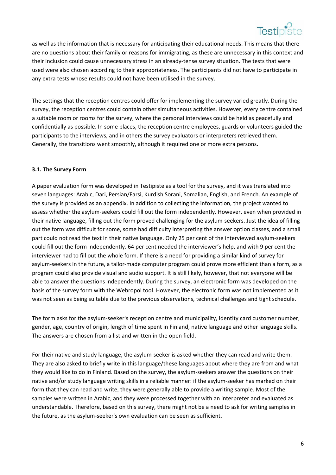

 as well as the information that is necessary for anticipating their educational needs. This means that there are no questions about their family or reasons for immigrating, as these are unnecessary in this context and their inclusion could cause unnecessary stress in an already‐tense survey situation. The tests that were used were also chosen according to their appropriateness. The participants did not have to participate in any extra tests whose results could not have been utilised in the survey.

The settings that the reception centres could offer for implementing the survey varied greatly. During the survey, the reception centres could contain other simultaneous activities. However, every centre contained a suitable room or rooms for the survey, where the personal interviews could be held as peacefully and confidentially as possible. In some places, the reception centre employees, guards or volunteers guided the participants to the interviews, and in others the survey evaluators or interpreters retrieved them. Generally, the transitions went smoothly, although it required one or more extra persons.

#### **3.1. The Survey Form**

A paper evaluation form was developed in Testipiste as a tool for the survey, and it was translated into seven languages: Arabic, Dari, Persian/Farsi, Kurdish Sorani, Somalian, English, and French. An example of the survey is provided as an appendix. In addition to collecting the information, the project wanted to assess whether the asylum‐seekers could fill out the form independently. However, even when provided in their native language, filling out the form proved challenging for the asylum‐seekers. Just the idea of filling out the form was difficult for some, some had difficulty interpreting the answer option classes, and a small part could not read the text in their native language. Only 25 per cent of the interviewed asylum‐seekers could fill out the form independently. 64 per cent needed the interviewer's help, and with 9 per cent the interviewer had to fill out the whole form. If there is a need for providing a similar kind of survey for asylum-seekers in the future, a tailor-made computer program could prove more efficient than a form, as a program could also provide visual and audio support. It is still likely, however, that not everyone will be able to answer the questions independently. During the survey, an electronic form was developed on the basis of the survey form with the Webropol tool. However, the electronic form was not implemented as it was not seen as being suitable due to the previous observations, technical challenges and tight schedule.

The form asks for the asylum-seeker's reception centre and municipality, identity card customer number, gender, age, country of origin, length of time spent in Finland, native language and other language skills. The answers are chosen from a list and written in the open field.

For their native and study language, the asylum‐seeker is asked whether they can read and write them. They are also asked to briefly write in this language/these languages about where they are from and what they would like to do in Finland. Based on the survey, the asylum‐seekers answer the questions on their native and/or study language writing skills in a reliable manner: if the asylum‐seeker has marked on their form that they can read and write, they were generally able to provide a writing sample. Most of the samples were written in Arabic, and they were processed together with an interpreter and evaluated as understandable. Therefore, based on this survey, there might not be a need to ask for writing samples in the future, as the asylum‐seeker's own evaluation can be seen as sufficient.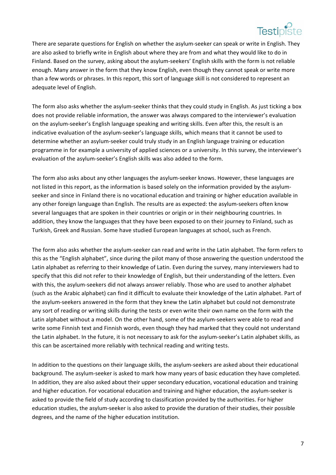

 There are separate questions for English on whether the asylum‐seeker can speak or write in English. They are also asked to briefly write in English about where they are from and what they would like to do in Finland. Based on the survey, asking about the asylum‐seekers' English skills with the form is not reliable enough. Many answer in the form that they know English, even though they cannot speak or write more than a few words or phrases. In this report, this sort of language skill is not considered to represent an adequate level of English.

The form also asks whether the asylum-seeker thinks that they could study in English. As just ticking a box does not provide reliable information, the answer was always compared to the interviewer's evaluation on the asylum‐seeker's English language speaking and writing skills. Even after this, the result is an indicative evaluation of the asylum‐seeker's language skills, which means that it cannot be used to determine whether an asylum‐seeker could truly study in an English language training or education programme in for example a university of applied sciences or a university. In this survey, the interviewer's evaluation of the asylum‐seeker's English skills was also added to the form.

The form also asks about any other languages the asylum-seeker knows. However, these languages are not listed in this report, as the information is based solely on the information provided by the asylumseeker and since in Finland there is no vocational education and training or higher education available in any other foreign language than English. The results are as expected: the asylum‐seekers often know several languages that are spoken in their countries or origin or in their neighbouring countries. In addition, they know the languages that they have been exposed to on their journey to Finland, such as Turkish, Greek and Russian. Some have studied European languages at school, such as French.

The form also asks whether the asylum‐seeker can read and write in the Latin alphabet. The form refers to this as the "English alphabet", since during the pilot many of those answering the question understood the Latin alphabet as referring to their knowledge of Latin. Even during the survey, many interviewers had to specify that this did not refer to their knowledge of English, but their understanding of the letters. Even with this, the asylum-seekers did not always answer reliably. Those who are used to another alphabet (such as the Arabic alphabet) can find it difficult to evaluate their knowledge of the Latin alphabet. Part of the asylum‐seekers answered in the form that they knew the Latin alphabet but could not demonstrate any sort of reading or writing skills during the tests or even write their own name on the form with the Latin alphabet without a model. On the other hand, some of the asylum-seekers were able to read and write some Finnish text and Finnish words, even though they had marked that they could not understand the Latin alphabet. In the future, it is not necessary to ask for the asylum‐seeker's Latin alphabet skills, as this can be ascertained more reliably with technical reading and writing tests.

In addition to the questions on their language skills, the asylum‐seekers are asked about their educational background. The asylum‐seeker is asked to mark how many years of basic education they have completed. In addition, they are also asked about their upper secondary education, vocational education and training and higher education. For vocational education and training and higher education, the asylum-seeker is asked to provide the field of study according to classification provided by the authorities. For higher education studies, the asylum‐seeker is also asked to provide the duration of their studies, their possible degrees, and the name of the higher education institution.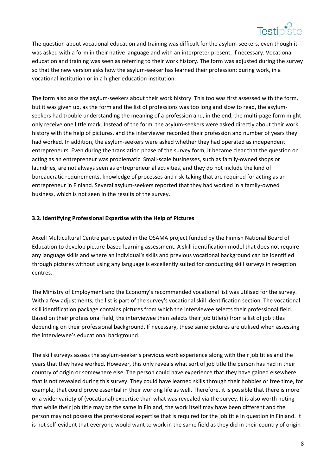

 The question about vocational education and training was difficult for the asylum‐seekers, even though it was asked with a form in their native language and with an interpreter present, if necessary. Vocational education and training was seen as referring to their work history. The form was adjusted during the survey so that the new version asks how the asylum-seeker has learned their profession: during work, in a vocational institution or in a higher education institution.

The form also asks the asylum-seekers about their work history. This too was first assessed with the form, but it was given up, as the form and the list of professions was too long and slow to read, the asylum‐ seekers had trouble understanding the meaning of a profession and, in the end, the multi‐page form might only receive one little mark. Instead of the form, the asylum‐seekers were asked directly about their work history with the help of pictures, and the interviewer recorded their profession and number of years they had worked. In addition, the asylum-seekers were asked whether they had operated as independent entrepreneurs. Even during the translation phase of the survey form, it became clear that the question on acting as an entrepreneur was problematic. Small‐scale businesses, such as family‐owned shops or laundries, are not always seen as entrepreneurial activities, and they do not include the kind of bureaucratic requirements, knowledge of processes and risk‐taking that are required for acting as an entrepreneur in Finland. Several asylum‐seekers reported that they had worked in a family‐owned business, which is not seen in the results of the survey.

#### **3.2. Identifying Professional Expertise with the Help of Pictures**

Axxell Multicultural Centre participated in the OSAMA project funded by the Finnish National Board of Education to develop picture‐based learning assessment. A skill identification model that does not require any language skills and where an individual's skills and previous vocational background can be identified through pictures without using any language is excellently suited for conducting skill surveys in reception centres.

The Ministry of Employment and the Economy's recommended vocational list was utilised for the survey. With a few adjustments, the list is part of the survey's vocational skill identification section. The vocational skill identification package contains pictures from which the interviewee selects their professional field. Based on their professional field, the interviewee then selects their job title(s) from a list of job titles depending on their professional background. If necessary, these same pictures are utilised when assessing the interviewee's educational background.

The skill surveys assess the asylum-seeker's previous work experience along with their job titles and the years that they have worked. However, this only reveals what sort of job title the person has had in their country of origin or somewhere else. The person could have experience that they have gained elsewhere that is not revealed during this survey. They could have learned skills through their hobbies or free time, for example, that could prove essential in their working life as well. Therefore, it is possible that there is more or a wider variety of (vocational) expertise than what was revealed via the survey. It is also worth noting that while their job title may be the same in Finland, the work itself may have been different and the person may not possess the professional expertise that is required for the job title in question in Finland. It is not self‐evident that everyone would want to work in the same field as they did in their country of origin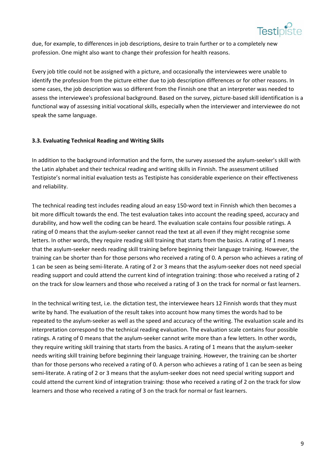

 due, for example, to differences in job descriptions, desire to train further or to a completely new profession. One might also want to change their profession for health reasons.

Every job title could not be assigned with a picture, and occasionally the interviewees were unable to identify the profession from the picture either due to job description differences or for other reasons. In some cases, the job description was so different from the Finnish one that an interpreter was needed to assess the interviewee's professional background. Based on the survey, picture‐based skill identification is a functional way of assessing initial vocational skills, especially when the interviewer and interviewee do not speak the same language.

#### **3.3. Evaluating Technical Reading and Writing Skills**

In addition to the background information and the form, the survey assessed the asylum‐seeker's skill with the Latin alphabet and their technical reading and writing skills in Finnish. The assessment utilised Testipiste's normal initial evaluation tests as Testipiste has considerable experience on their effectiveness and reliability.

The technical reading test includes reading aloud an easy 150‐word text in Finnish which then becomes a bit more difficult towards the end. The test evaluation takes into account the reading speed, accuracy and durability, and how well the coding can be heard. The evaluation scale contains four possible ratings. A rating of 0 means that the asylum-seeker cannot read the text at all even if they might recognise some letters. In other words, they require reading skill training that starts from the basics. A rating of 1 means that the asylum‐seeker needs reading skill training before beginning their language training. However, the training can be shorter than for those persons who received a rating of 0. A person who achieves a rating of 1 can be seen as being semi‐literate. A rating of 2 or 3 means that the asylum‐seeker does not need special reading support and could attend the current kind of integration training: those who received a rating of 2 on the track for slow learners and those who received a rating of 3 on the track for normal or fast learners.

In the technical writing test, i.e. the dictation test, the interviewee hears 12 Finnish words that they must write by hand. The evaluation of the result takes into account how many times the words had to be repeated to the asylum‐seeker as well as the speed and accuracy of the writing. The evaluation scale and its interpretation correspond to the technical reading evaluation. The evaluation scale contains four possible ratings. A rating of 0 means that the asylum‐seeker cannot write more than a few letters. In other words, they require writing skill training that starts from the basics. A rating of 1 means that the asylum‐seeker needs writing skill training before beginning their language training. However, the training can be shorter than for those persons who received a rating of 0. A person who achieves a rating of 1 can be seen as being semi-literate. A rating of 2 or 3 means that the asylum-seeker does not need special writing support and could attend the current kind of integration training: those who received a rating of 2 on the track for slow learners and those who received a rating of 3 on the track for normal or fast learners.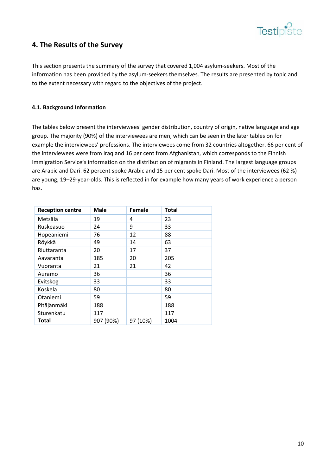

# **4. The Results of the Survey**

This section presents the summary of the survey that covered 1,004 asylum‐seekers. Most of the information has been provided by the asylum‐seekers themselves. The results are presented by topic and to the extent necessary with regard to the objectives of the project.

#### **4.1. Background Information**

The tables below present the interviewees' gender distribution, country of origin, native language and age group. The majority (90%) of the interviewees are men, which can be seen in the later tables on for example the interviewees' professions. The interviewees come from 32 countries altogether. 66 per cent of the interviewees were from Iraq and 16 per cent from Afghanistan, which corresponds to the Finnish Immigration Service's information on the distribution of migrants in Finland. The largest language groups are Arabic and Dari. 62 percent spoke Arabic and 15 per cent spoke Dari. Most of the interviewees (62 %) are young, 19–29‐year‐olds. This is reflected in for example how many years of work experience a person has.

| <b>Reception centre</b> | <b>Male</b> | Female   | <b>Total</b> |
|-------------------------|-------------|----------|--------------|
| Metsälä                 | 19          | 4        | 23           |
| Ruskeasuo               | 24          | 9        | 33           |
| Hopeaniemi              | 76          | 12       | 88           |
| Röykkä                  | 49          | 14       | 63           |
| Riuttaranta             | 20          | 17       | 37           |
| Aavaranta               | 185         | 20       | 205          |
| Vuoranta                | 21          | 21       | 42           |
| Auramo                  | 36          |          | 36           |
| Evitskog                | 33          |          | 33           |
| Koskela                 | 80          |          | 80           |
| Otaniemi                | 59          |          | 59           |
| Pitäjänmäki             | 188         |          | 188          |
| Sturenkatu              | 117         |          | 117          |
| <b>Total</b>            | 907 (90%)   | 97 (10%) | 1004         |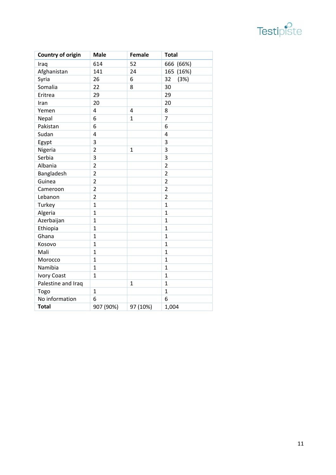

| <b>Country of origin</b> | <b>Male</b>    | <b>Female</b> | <b>Total</b>   |
|--------------------------|----------------|---------------|----------------|
| Iraq                     | 614            | 52            | 666 (66%)      |
| Afghanistan              | 141            | 24            | (16%)<br>165   |
| Syria                    | 26             | 6             | 32<br>(3%)     |
| Somalia                  | 22             | 8             | 30             |
| Eritrea                  | 29             |               | 29             |
| Iran                     | 20             |               | 20             |
| Yemen                    | 4              | 4             | 8              |
| Nepal                    | 6              | $\mathbf{1}$  | 7              |
| Pakistan                 | 6              |               | 6              |
| Sudan                    | 4              |               | 4              |
| Egypt                    | 3              |               | 3              |
| Nigeria                  | $\overline{2}$ | $\mathbf{1}$  | 3              |
| Serbia                   | 3              |               | 3              |
| Albania                  | $\overline{2}$ |               | $\overline{2}$ |
| Bangladesh               | $\overline{2}$ |               | $\overline{2}$ |
| Guinea                   | $\overline{2}$ |               | $\overline{2}$ |
| Cameroon                 | $\overline{2}$ |               | $\overline{2}$ |
| Lebanon                  | $\overline{2}$ |               | $\overline{2}$ |
| Turkey                   | $\overline{1}$ |               | $\overline{1}$ |
| Algeria                  | $\overline{1}$ |               | $\overline{1}$ |
| Azerbaijan               | $\overline{1}$ |               | $\overline{1}$ |
| Ethiopia                 | $\mathbf{1}$   |               | $\overline{1}$ |
| Ghana                    | $\mathbf{1}$   |               | 1              |
| Kosovo                   | $\mathbf{1}$   |               | $\overline{1}$ |
| Mali                     | $\overline{1}$ |               | $\overline{1}$ |
| Morocco                  | $\mathbf{1}$   |               | $\overline{1}$ |
| Namibia                  | $\overline{1}$ |               | $\mathbf{1}$   |
| <b>Ivory Coast</b>       | $\overline{1}$ |               | $\overline{1}$ |
| Palestine and Iraq       |                | $\mathbf{1}$  | $\overline{1}$ |
| Togo                     | $\mathbf{1}$   |               | $\mathbf{1}$   |
| No information           | 6              |               | 6              |
| <b>Total</b>             | 907 (90%)      | 97 (10%)      | 1,004          |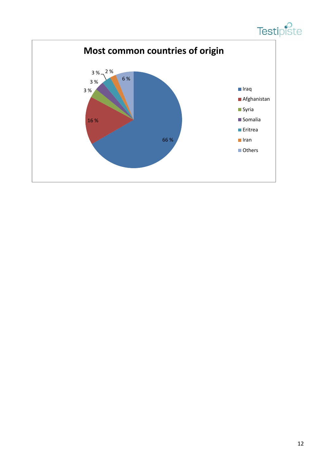

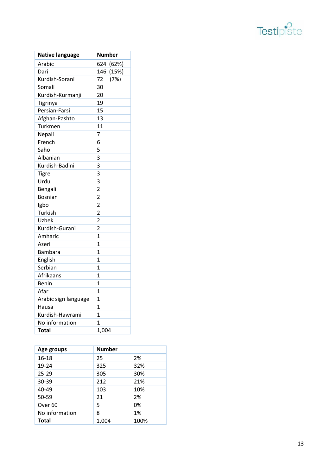

| <b>Native language</b> | <b>Number</b>  |
|------------------------|----------------|
| Arabic                 | 624 (62%)      |
| Dari                   | 146 (15%)      |
| Kurdish-Sorani         | 72<br>(7%)     |
| Somali                 | 30             |
| Kurdish-Kurmanji       | 20             |
| Tigrinya               | 19             |
| Persian-Farsi          | 15             |
| Afghan-Pashto          | 13             |
| Turkmen                | 11             |
| Nepali                 | 7              |
| French                 | 6              |
| Saho                   | 5              |
| Albanian               | 3              |
| Kurdish-Badini         | 3              |
| <b>Tigre</b>           | 3              |
| Urdu                   | 3              |
| Bengali                | $\overline{2}$ |
| <b>Bosnian</b>         | $\overline{2}$ |
| Igbo                   | $\overline{2}$ |
| Turkish                | $\overline{2}$ |
| Uzbek                  | $\overline{2}$ |
| Kurdish-Gurani         | $\overline{2}$ |
| Amharic                | $\overline{1}$ |
| Azeri                  | $\mathbf{1}$   |
| Bambara                | $\mathbf{1}$   |
| English                | $\overline{1}$ |
| Serbian                | $\overline{1}$ |
| Afrikaans              | $\mathbf{1}$   |
| Benin                  | $\overline{1}$ |
| Afar                   | $\overline{1}$ |
| Arabic sign language   | $\overline{1}$ |
| Hausa                  | $\overline{1}$ |
| Kurdish-Hawrami        | $\overline{1}$ |
| No information         | $\overline{1}$ |
| <b>Total</b>           | 1,004          |

| Age groups         | <b>Number</b> |      |
|--------------------|---------------|------|
| 16-18              | 25            | 2%   |
| 19-24              | 325           | 32%  |
| $25 - 29$          | 305           | 30%  |
| 30-39              | 212           | 21%  |
| 40-49              | 103           | 10%  |
| 50-59              | 21            | 2%   |
| Over <sub>60</sub> | 5             | 0%   |
| No information     | 8             | 1%   |
| <b>Total</b>       | 1,004         | 100% |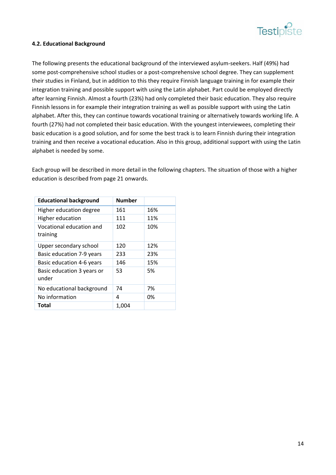

#### **4.2. Educational Background**

The following presents the educational background of the interviewed asylum‐seekers. Half (49%) had some post-comprehensive school studies or a post-comprehensive school degree. They can supplement their studies in Finland, but in addition to this they require Finnish language training in for example their integration training and possible support with using the Latin alphabet. Part could be employed directly after learning Finnish. Almost a fourth (23%) had only completed their basic education. They also require Finnish lessons in for example their integration training as well as possible support with using the Latin alphabet. After this, they can continue towards vocational training or alternatively towards working life. A fourth (27%) had not completed their basic education. With the youngest interviewees, completing their basic education is a good solution, and for some the best track is to learn Finnish during their integration training and then receive a vocational education. Also in this group, additional support with using the Latin alphabet is needed by some.

Each group will be described in more detail in the following chapters. The situation of those with a higher education is described from page 21 onwards.

| <b>Educational background</b>        | <b>Number</b> |     |
|--------------------------------------|---------------|-----|
| Higher education degree              | 161           | 16% |
| <b>Higher education</b>              | 111           | 11% |
| Vocational education and<br>training | 102           | 10% |
| Upper secondary school               | 120           | 12% |
| Basic education 7-9 years            | 233           | 23% |
| Basic education 4-6 years            | 146           | 15% |
| Basic education 3 years or<br>under  | 53            | 5%  |
| No educational background            | 74            | 7%  |
| No information                       | 4             | 0%  |
| Total                                | 1.004         |     |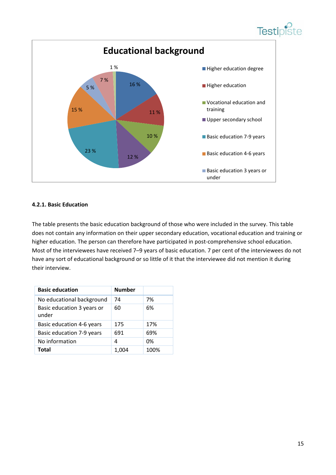



#### **4.2.1. Basic Education**

The table presents the basic education background of those who were included in the survey. This table does not contain any information on their upper secondary education, vocational education and training or higher education. The person can therefore have participated in post-comprehensive school education. Most of the interviewees have received 7–9 years of basic education. 7 per cent of the interviewees do not have any sort of educational background or so little of it that the interviewee did not mention it during their interview.

| <b>Basic education</b>              | <b>Number</b> |      |
|-------------------------------------|---------------|------|
| No educational background           | 74            | 7%   |
| Basic education 3 years or<br>under | 60            | 6%   |
| Basic education 4-6 years           | 175           | 17%  |
| Basic education 7-9 years           | 691           | 69%  |
| No information                      | 4             | 0%   |
| <b>Total</b>                        | 1,004         | 100% |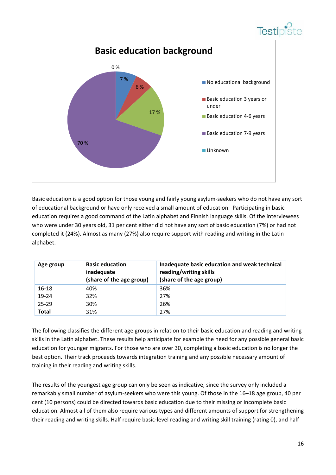



Basic education is a good option for those young and fairly young asylum-seekers who do not have any sort of educational background or have only received a small amount of education. Participating in basic education requires a good command of the Latin alphabet and Finnish language skills. Of the interviewees who were under 30 years old, 31 per cent either did not have any sort of basic education (7%) or had not completed it (24%). Almost as many (27%) also require support with reading and writing in the Latin alphabet.

| Age group    | <b>Basic education</b><br>inadequate<br>(share of the age group) | Inadequate basic education and weak technical<br>reading/writing skills<br>(share of the age group) |
|--------------|------------------------------------------------------------------|-----------------------------------------------------------------------------------------------------|
| 16-18        | 40%                                                              | 36%                                                                                                 |
| 19-24        | 32%                                                              | 27%                                                                                                 |
| $25 - 29$    | 30%                                                              | 26%                                                                                                 |
| <b>Total</b> | 31%                                                              | 27%                                                                                                 |

The following classifies the different age groups in relation to their basic education and reading and writing skills in the Latin alphabet. These results help anticipate for example the need for any possible general basic education for younger migrants. For those who are over 30, completing a basic education is no longer the best option. Their track proceeds towards integration training and any possible necessary amount of training in their reading and writing skills.

The results of the youngest age group can only be seen as indicative, since the survey only included a remarkably small number of asylum‐seekers who were this young. Of those in the 16–18 age group, 40 per cent (10 persons) could be directed towards basic education due to their missing or incomplete basic education. Almost all of them also require various types and different amounts of support for strengthening their reading and writing skills. Half require basic-level reading and writing skill training (rating 0), and half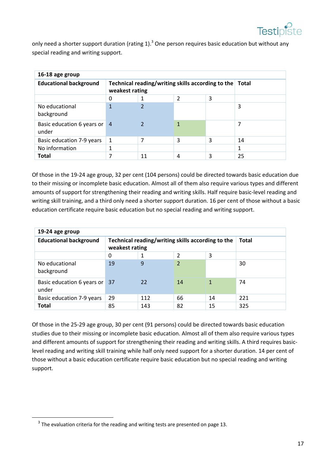

 only need a shorter support duration (rating 1).<sup>3</sup> One person requires basic education but without any special reading and writing support.

| 16-18 age group                     |                                                                     |    |   |              |    |
|-------------------------------------|---------------------------------------------------------------------|----|---|--------------|----|
| <b>Educational background</b>       | Technical reading/writing skills according to the<br>weakest rating |    |   | <b>Total</b> |    |
|                                     | 0                                                                   |    |   |              |    |
| No educational<br>background        |                                                                     |    |   |              | 3  |
| Basic education 6 years or<br>under | $\overline{4}$                                                      |    |   |              | 7  |
| Basic education 7-9 years           | 1                                                                   | 7  | 3 | 3            | 14 |
| No information                      | 1                                                                   |    |   |              | 1  |
| <b>Total</b>                        | 7                                                                   | 11 | 4 | 3            | 25 |

Of those in the 19‐24 age group, 32 per cent (104 persons) could be directed towards basic education due to their missing or incomplete basic education. Almost all of them also require various types and different amounts of support for strengthening their reading and writing skills. Half require basic‐level reading and writing skill training, and a third only need a shorter support duration. 16 per cent of those without a basic education certificate require basic education but no special reading and writing support.

| 19-24 age group                     |                                                                     |     |                |              |     |
|-------------------------------------|---------------------------------------------------------------------|-----|----------------|--------------|-----|
| <b>Educational background</b>       | Technical reading/writing skills according to the<br>weakest rating |     |                | <b>Total</b> |     |
|                                     | 0                                                                   |     |                |              |     |
| No educational<br>background        | 19                                                                  | 9   | $\overline{2}$ |              | 30  |
| Basic education 6 years or<br>under | 37                                                                  | 22  | 14             |              | 74  |
| Basic education 7-9 years           | 29                                                                  | 112 | 66             | 14           | 221 |
| <b>Total</b>                        | 85                                                                  | 143 | 82             | 15           | 325 |

Of those in the 25‐29 age group, 30 per cent (91 persons) could be directed towards basic education studies due to their missing or incomplete basic education. Almost all of them also require various types and different amounts of support for strengthening their reading and writing skills. A third requires basiclevel reading and writing skill training while half only need support for a shorter duration. 14 per cent of those without a basic education certificate require basic education but no special reading and writing support.

 $3$  The evaluation criteria for the reading and writing tests are presented on page 13.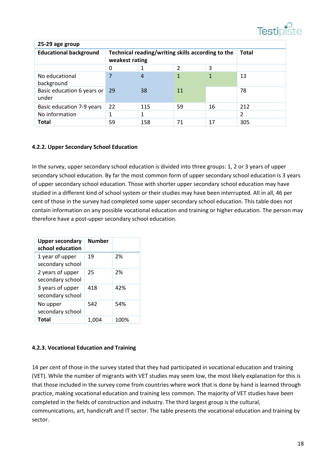| 25-29 age group                     |                                                                     |     |    |    |              |
|-------------------------------------|---------------------------------------------------------------------|-----|----|----|--------------|
| <b>Educational background</b>       | Technical reading/writing skills according to the<br>weakest rating |     |    |    | <b>Total</b> |
|                                     | 0                                                                   |     | 2  | 3  |              |
| No educational<br>background        | 7                                                                   | 4   |    | 1  | 13           |
| Basic education 6 years or<br>under | 29                                                                  | 38  | 11 |    | 78           |
| Basic education 7-9 years           | 22                                                                  | 115 | 59 | 16 | 212          |
| No information                      |                                                                     | 1   |    |    | 2            |
| <b>Total</b>                        | 59                                                                  | 158 | 71 | 17 | 305          |

#### **4.2.2. Upper Secondary School Education**

In the survey, upper secondary school education is divided into three groups: 1, 2 or 3 years of upper secondary school education. By far the most common form of upper secondary school education is 3 years of upper secondary school education. Those with shorter upper secondary school education may have studied in a different kind of school system or their studies may have been interrupted. All in all, 46 per cent of those in the survey had completed some upper secondary school education. This table does not contain information on any possible vocational education and training or higher education. The person may therefore have a post-upper secondary school education.

| <b>Upper secondary</b><br>school education | <b>Number</b> |      |
|--------------------------------------------|---------------|------|
| 1 year of upper<br>secondary school        | 19            | 2%   |
| 2 years of upper<br>secondary school       | 25            | 2%   |
| 3 years of upper<br>secondary school       | 418           | 42%  |
| No upper<br>secondary school               | 542           | 54%  |
| <b>Total</b>                               | 1.0           | 100% |

#### **4.2.3. Vocational Education and Training**

14 per cent of those in the survey stated that they had participated in vocational education and training (VET). While the number of migrants with VET studies may seem low, the most likely explanation for this is that those included in the survey come from countries where work that is done by hand is learned through practice, making vocational education and training less common. The majority of VET studies have been completed in the fields of construction and industry. The third largest group is the cultural, communications, art, handicraft and IT sector. The table presents the vocational education and training by sector.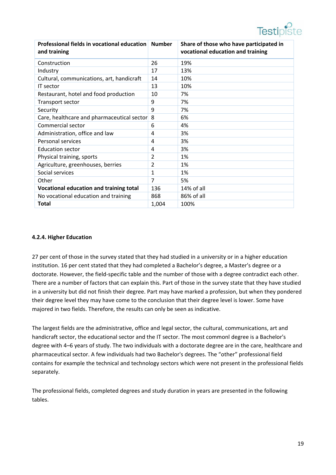

| and training                               |                | Share of those who have participated in<br>vocational education and training |
|--------------------------------------------|----------------|------------------------------------------------------------------------------|
| Construction                               | 26             | 19%                                                                          |
| Industry                                   | 17             | 13%                                                                          |
| Cultural, communications, art, handicraft  | 14             | 10%                                                                          |
| IT sector                                  | 13             | 10%                                                                          |
| Restaurant, hotel and food production      | 10             | 7%                                                                           |
| Transport sector                           | 9              | 7%                                                                           |
| Security                                   | 9              | 7%                                                                           |
| Care, healthcare and pharmaceutical sector | 8              | 6%                                                                           |
| Commercial sector                          | 6              | 4%                                                                           |
| Administration, office and law             | 4              | 3%                                                                           |
| Personal services                          | 4              | 3%                                                                           |
| <b>Education sector</b>                    | 4              | 3%                                                                           |
| Physical training, sports                  | 2              | 1%                                                                           |
| Agriculture, greenhouses, berries          | 2              | 1%                                                                           |
| Social services                            | 1              | 1%                                                                           |
| Other                                      | $\overline{7}$ | 5%                                                                           |
| Vocational education and training total    | 136            | $14\%$ of all                                                                |
| No vocational education and training       | 868            | 86% of all                                                                   |
| <b>Total</b>                               | 1,004          | 100%                                                                         |

#### **4.2.4. Higher Education**

27 per cent of those in the survey stated that they had studied in a university or in a higher education institution. 16 per cent stated that they had completed a Bachelor's degree, a Master's degree or a doctorate. However, the field‐specific table and the number of those with a degree contradict each other. There are a number of factors that can explain this. Part of those in the survey state that they have studied in a university but did not finish their degree. Part may have marked a profession, but when they pondered their degree level they may have come to the conclusion that their degree level is lower. Some have majored in two fields. Therefore, the results can only be seen as indicative.

The largest fields are the administrative, office and legal sector, the cultural, communications, art and handicraft sector, the educational sector and the IT sector. The most commonl degree is a Bachelor's degree with 4–6 years of study. The two individuals with a doctorate degree are in the care, healthcare and pharmaceutical sector. A few individuals had two Bachelor's degrees. The "other" professional field contains for example the technical and technology sectors which were not present in the professional fields separately.

The professional fields, completed degrees and study duration in years are presented in the following tables.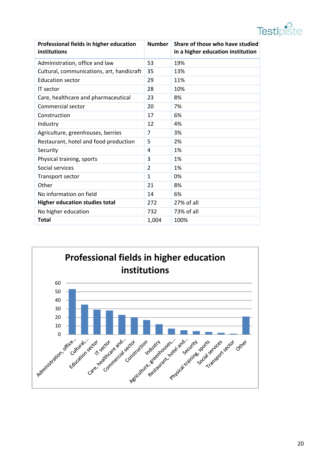| Professional fields in higher education<br>institutions | <b>Number</b> | Share of those who have studied<br>in a higher education institution |
|---------------------------------------------------------|---------------|----------------------------------------------------------------------|
| Administration, office and law                          | 53            | 19%                                                                  |
| Cultural, communications, art, handicraft               | 35            | 13%                                                                  |
| <b>Education sector</b>                                 | 29            | 11%                                                                  |
| IT sector                                               | 28            | 10%                                                                  |
| Care, healthcare and pharmaceutical                     | 23            | 8%                                                                   |
| Commercial sector                                       | 20            | 7%                                                                   |
| Construction                                            | 17            | 6%                                                                   |
| Industry                                                | 12            | 4%                                                                   |
| Agriculture, greenhouses, berries                       | 7             | 3%                                                                   |
| Restaurant, hotel and food production                   | 5             | 2%                                                                   |
| Security                                                | 4             | 1%                                                                   |
| Physical training, sports                               | 3             | 1%                                                                   |
| Social services                                         | 2             | 1%                                                                   |
| Transport sector                                        | 1             | 0%                                                                   |
| Other                                                   | 21            | 8%                                                                   |
| No information on field                                 | 14            | 6%                                                                   |
| <b>Higher education studies total</b>                   | 272           | 27% of all                                                           |
| No higher education                                     | 732           | 73% of all                                                           |
| <b>Total</b>                                            | 1,004         | 100%                                                                 |

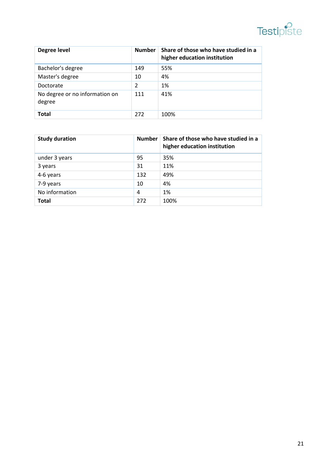# **Testipiste**

| Degree level                             | <b>Number</b> | Share of those who have studied in a<br>higher education institution |
|------------------------------------------|---------------|----------------------------------------------------------------------|
| Bachelor's degree                        | 149           | 55%                                                                  |
| Master's degree                          | 10            | 4%                                                                   |
| Doctorate                                | 2             | 1%                                                                   |
| No degree or no information on<br>degree | 111           | 41%                                                                  |
| Total                                    | 272           | 100%                                                                 |

| <b>Study duration</b> | <b>Number</b> | Share of those who have studied in a<br>higher education institution |
|-----------------------|---------------|----------------------------------------------------------------------|
| under 3 years         | 95            | 35%                                                                  |
| 3 years               | 31            | 11%                                                                  |
| 4-6 years             | 132           | 49%                                                                  |
| 7-9 years             | 10            | 4%                                                                   |
| No information        | 4             | 1%                                                                   |
| <b>Total</b>          | 272           | 100%                                                                 |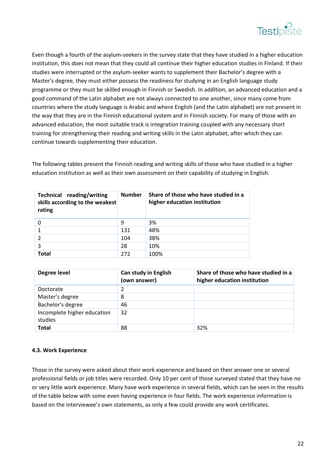

Even though a fourth of the asylum‐seekers in the survey state that they have studied in a higher education institution, this does not mean that they could all continue their higher education studies in Finland. If their studies were interrupted or the asylum‐seeker wants to supplement their Bachelor's degree with a Master's degree, they must either possess the readiness for studying in an English language study programme or they must be skilled enough in Finnish or Swedish. In addition, an advanced education and a good command of the Latin alphabet are not always connected to one another, since many come from countries where the study language is Arabic and where English (and the Latin alphabet) are not present in the way that they are in the Finnish educational system and in Finnish society. For many of those with an advanced education, the most suitable track is integration training coupled with any necessary short training for strengthening their reading and writing skills in the Latin alphabet, after which they can continue towards supplementing their education.

The following tables present the Finnish reading and writing skills of those who have studied in a higher education institution as well as their own assessment on their capability of studying in English.

| Technical reading/writing<br>skills according to the weakest<br>rating | <b>Number</b> | Share of those who have studied in a<br>higher education institution |
|------------------------------------------------------------------------|---------------|----------------------------------------------------------------------|
|                                                                        | 9             | 3%                                                                   |
|                                                                        | 131           | 48%                                                                  |
|                                                                        | 104           | 38%                                                                  |
| 3                                                                      | 28            | 10%                                                                  |
| <b>Total</b>                                                           | 272           | 100%                                                                 |

| Degree level                           | <b>Can study in English</b><br>(own answer) | Share of those who have studied in a<br>higher education institution |
|----------------------------------------|---------------------------------------------|----------------------------------------------------------------------|
| Doctorate                              |                                             |                                                                      |
| Master's degree                        | 8                                           |                                                                      |
| Bachelor's degree                      | 46                                          |                                                                      |
| Incomplete higher education<br>studies | 32                                          |                                                                      |
| <b>Total</b>                           | 88                                          | 32%                                                                  |

#### **4.3. Work Experience**

Those in the survey were asked about their work experience and based on their answer one or several professional fields or job titles were recorded. Only 10 per cent of those surveyed stated that they have no or very little work experience. Many have work experience in several fields, which can be seen in the results of the table below with some even having experience in four fields. The work experience information is based on the interviewee's own statements, as only a few could provide any work certificates.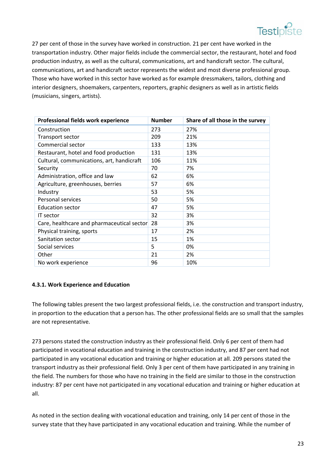

27 per cent of those in the survey have worked in construction. 21 per cent have worked in the transportation industry. Other major fields include the commercial sector, the restaurant, hotel and food production industry, as well as the cultural, communications, art and handicraft sector. The cultural, communications, art and handicraft sector represents the widest and most diverse professional group. Those who have worked in this sector have worked as for example dressmakers, tailors, clothing and interior designers, shoemakers, carpenters, reporters, graphic designers as well as in artistic fields (musicians, singers, artists).

| Professional fields work experience        | <b>Number</b> | Share of all those in the survey |
|--------------------------------------------|---------------|----------------------------------|
| Construction                               | 273           | 27%                              |
| Transport sector                           | 209           | 21%                              |
| Commercial sector                          | 133           | 13%                              |
| Restaurant, hotel and food production      | 131           | 13%                              |
| Cultural, communications, art, handicraft  | 106           | 11%                              |
| Security                                   | 70            | 7%                               |
| Administration, office and law             | 62            | 6%                               |
| Agriculture, greenhouses, berries          | 57            | 6%                               |
| Industry                                   | 53            | 5%                               |
| Personal services                          | 50            | 5%                               |
| <b>Education sector</b>                    | 47            | 5%                               |
| <b>IT</b> sector                           | 32            | 3%                               |
| Care, healthcare and pharmaceutical sector | 28            | 3%                               |
| Physical training, sports                  | 17            | 2%                               |
| Sanitation sector                          | 15            | 1%                               |
| Social services                            | 5             | 0%                               |
| Other                                      | 21            | 2%                               |
| No work experience                         | 96            | 10%                              |

#### **4.3.1. Work Experience and Education**

The following tables present the two largest professional fields, i.e. the construction and transport industry, in proportion to the education that a person has. The other professional fields are so small that the samples are not representative.

273 persons stated the construction industry as their professional field. Only 6 per cent of them had participated in vocational education and training in the construction industry, and 87 per cent had not participated in any vocational education and training or higher education at all. 209 persons stated the transport industry as their professional field. Only 3 per cent of them have participated in any training in the field. The numbers for those who have no training in the field are similar to those in the construction industry: 87 per cent have not participated in any vocational education and training or higher education at all.

As noted in the section dealing with vocational education and training, only 14 per cent of those in the survey state that they have participated in any vocational education and training. While the number of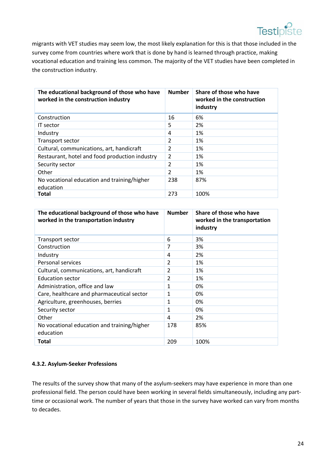

 migrants with VET studies may seem low, the most likely explanation for this is that those included in the survey come from countries where work that is done by hand is learned through practice, making vocational education and training less common. The majority of the VET studies have been completed in the construction industry.

| The educational background of those who have<br>worked in the construction industry | <b>Number</b>  | Share of those who have<br>worked in the construction<br>industry |
|-------------------------------------------------------------------------------------|----------------|-------------------------------------------------------------------|
| Construction                                                                        | 16             | 6%                                                                |
| IT sector                                                                           | 5              | 2%                                                                |
| Industry                                                                            | 4              | 1%                                                                |
| Transport sector                                                                    | 2              | 1%                                                                |
| Cultural, communications, art, handicraft                                           | 2              | 1%                                                                |
| Restaurant, hotel and food production industry                                      | $\overline{2}$ | 1%                                                                |
| Security sector                                                                     | 2              | 1%                                                                |
| Other                                                                               | 2              | 1%                                                                |
| No vocational education and training/higher<br>education                            | 238            | 87%                                                               |
| Total                                                                               | 273            | 100%                                                              |

| The educational background of those who have<br>worked in the transportation industry | <b>Number</b>  | Share of those who have<br>worked in the transportation<br>industry |
|---------------------------------------------------------------------------------------|----------------|---------------------------------------------------------------------|
| Transport sector                                                                      | 6              | 3%                                                                  |
| Construction                                                                          | 7              | 3%                                                                  |
| Industry                                                                              | 4              | 2%                                                                  |
| Personal services                                                                     | 2              | 1%                                                                  |
| Cultural, communications, art, handicraft                                             | $\overline{2}$ | 1%                                                                  |
| <b>Education sector</b>                                                               | $\overline{2}$ | 1%                                                                  |
| Administration, office and law                                                        | 1              | 0%                                                                  |
| Care, healthcare and pharmaceutical sector                                            | 1              | 0%                                                                  |
| Agriculture, greenhouses, berries                                                     | 1              | 0%                                                                  |
| Security sector                                                                       | 1              | 0%                                                                  |
| Other                                                                                 | 4              | 2%                                                                  |
| No vocational education and training/higher<br>education                              | 178            | 85%                                                                 |
| Total                                                                                 | 209            | 100%                                                                |

#### **4.3.2. Asylum‐Seeker Professions**

The results of the survey show that many of the asylum-seekers may have experience in more than one professional field. The person could have been working in several fields simultaneously, including any parttime or occasional work. The number of years that those in the survey have worked can vary from months to decades.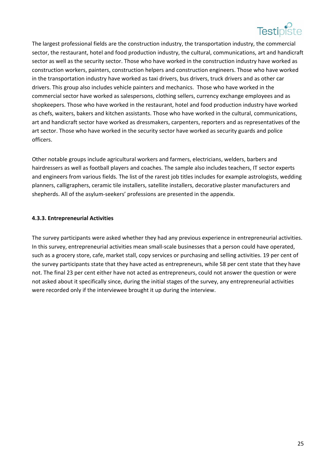

 The largest professional fields are the construction industry, the transportation industry, the commercial sector, the restaurant, hotel and food production industry, the cultural, communications, art and handicraft sector as well as the security sector. Those who have worked in the construction industry have worked as construction workers, painters, construction helpers and construction engineers. Those who have worked in the transportation industry have worked as taxi drivers, bus drivers, truck drivers and as other car drivers. This group also includes vehicle painters and mechanics. Those who have worked in the commercial sector have worked as salespersons, clothing sellers, currency exchange employees and as shopkeepers. Those who have worked in the restaurant, hotel and food production industry have worked as chefs, waiters, bakers and kitchen assistants. Those who have worked in the cultural, communications, art and handicraft sector have worked as dressmakers, carpenters, reporters and as representatives of the art sector. Those who have worked in the security sector have worked as security guards and police officers.

Other notable groups include agricultural workers and farmers, electricians, welders, barbers and hairdressers as well as football players and coaches. The sample also includes teachers, IT sector experts and engineers from various fields. The list of the rarest job titles includes for example astrologists, wedding planners, calligraphers, ceramic tile installers, satellite installers, decorative plaster manufacturers and shepherds. All of the asylum-seekers' professions are presented in the appendix.

#### **4.3.3. Entrepreneurial Activities**

The survey participants were asked whether they had any previous experience in entrepreneurial activities. In this survey, entrepreneurial activities mean small-scale businesses that a person could have operated, such as a grocery store, cafe, market stall, copy services or purchasing and selling activities. 19 per cent of the survey participants state that they have acted as entrepreneurs, while 58 per cent state that they have not. The final 23 per cent either have not acted as entrepreneurs, could not answer the question or were not asked about it specifically since, during the initial stages of the survey, any entrepreneurial activities were recorded only if the interviewee brought it up during the interview.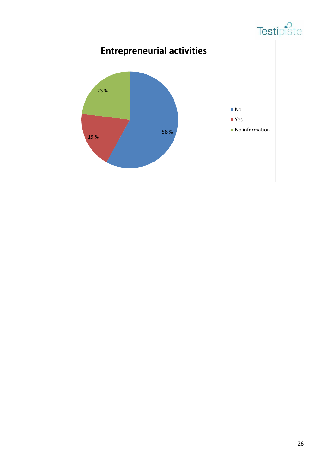

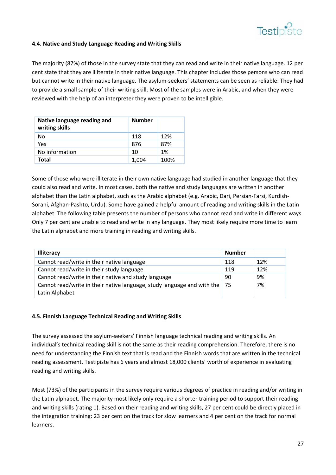

#### **4.4. Native and Study Language Reading and Writing Skills**

The majority (87%) of those in the survey state that they can read and write in their native language. 12 per cent state that they are illiterate in their native language. This chapter includes those persons who can read but cannot write in their native language. The asylum‐seekers' statements can be seen as reliable: They had to provide a small sample of their writing skill. Most of the samples were in Arabic, and when they were reviewed with the help of an interpreter they were proven to be intelligible.

| Native language reading and<br>writing skills | <b>Number</b> |      |
|-----------------------------------------------|---------------|------|
| Nο                                            | 118           | 12%  |
| Yes                                           | 876           | 87%  |
| No information                                | 10            | 1%   |
| Total                                         | 1,004         | 100% |

Some of those who were illiterate in their own native language had studied in another language that they could also read and write. In most cases, both the native and study languages are written in another alphabet than the Latin alphabet, such as the Arabic alphabet (e.g. Arabic, Dari, Persian‐Farsi, Kurdish‐ Sorani, Afghan‐Pashto, Urdu). Some have gained a helpful amount of reading and writing skills in the Latin alphabet. The following table presents the number of persons who cannot read and write in different ways. Only 7 per cent are unable to read and write in any language. They most likely require more time to learn the Latin alphabet and more training in reading and writing skills.

| <b>Illiteracy</b>                                                                         | <b>Number</b> |     |
|-------------------------------------------------------------------------------------------|---------------|-----|
| Cannot read/write in their native language                                                | 118           | 12% |
| Cannot read/write in their study language                                                 | 119           | 12% |
| Cannot read/write in their native and study language                                      | 90            | 9%  |
| Cannot read/write in their native language, study language and with the<br>Latin Alphabet | 75            | 7%  |

#### **4.5. Finnish Language Technical Reading and Writing Skills**

The survey assessed the asylum‐seekers' Finnish language technical reading and writing skills. An individual's technical reading skill is not the same as their reading comprehension. Therefore, there is no need for understanding the Finnish text that is read and the Finnish words that are written in the technical reading assessment. Testipiste has 6 years and almost 18,000 clients' worth of experience in evaluating reading and writing skills.

Most (73%) of the participants in the survey require various degrees of practice in reading and/or writing in the Latin alphabet. The majority most likely only require a shorter training period to support their reading and writing skills (rating 1). Based on their reading and writing skills, 27 per cent could be directly placed in the integration training: 23 per cent on the track for slow learners and 4 per cent on the track for normal learners.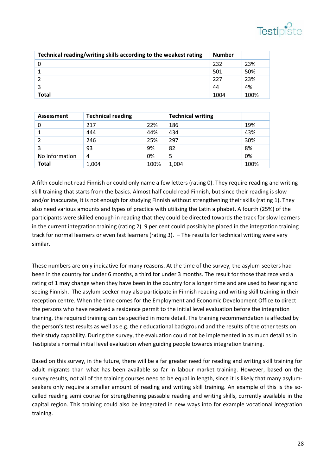

| Technical reading/writing skills according to the weakest rating | <b>Number</b> |      |
|------------------------------------------------------------------|---------------|------|
|                                                                  | 232           | 23%  |
|                                                                  | 501           | 50%  |
|                                                                  | 227           | 23%  |
|                                                                  | 44            | 4%   |
| <b>Total</b>                                                     | 1004          | 100% |

| Assessment     | <b>Technical reading</b> |      | <b>Technical writing</b> |      |
|----------------|--------------------------|------|--------------------------|------|
| 0              | 217                      | 22%  | 186                      | 19%  |
|                | 444                      | 44%  | 434                      | 43%  |
|                | 246                      | 25%  | 297                      | 30%  |
| 3              | 93                       | 9%   | 82                       | 8%   |
| No information | 4                        | 0%   |                          | 0%   |
| <b>Total</b>   | 1,004                    | 100% | 1,004                    | 100% |

A fifth could not read Finnish or could only name a few letters (rating 0). They require reading and writing skill training that starts from the basics. Almost half could read Finnish, but since their reading is slow and/or inaccurate, it is not enough for studying Finnish without strengthening their skills (rating 1). They also need various amounts and types of practice with utilising the Latin alphabet. A fourth (25%) of the participants were skilled enough in reading that they could be directed towards the track for slow learners in the current integration training (rating 2). 9 per cent could possibly be placed in the integration training track for normal learners or even fast learners (rating 3). – The results for technical writing were very similar.

These numbers are only indicative for many reasons. At the time of the survey, the asylum‐seekers had been in the country for under 6 months, a third for under 3 months. The result for those that received a rating of 1 may change when they have been in the country for a longer time and are used to hearing and seeing Finnish. The asylum‐seeker may also participate in Finnish reading and writing skill training in their reception centre. When the time comes for the Employment and Economic Development Office to direct the persons who have received a residence permit to the initial level evaluation before the integration training, the required training can be specified in more detail. The training recommendation is affected by the person's test results as well as e.g. their educational background and the results of the other tests on their study capability. During the survey, the evaluation could not be implemented in as much detail as in Testipiste's normal initial level evaluation when guiding people towards integration training.

Based on this survey, in the future, there will be a far greater need for reading and writing skill training for adult migrants than what has been available so far in labour market training. However, based on the survey results, not all of the training courses need to be equal in length, since it is likely that many asylumseekers only require a smaller amount of reading and writing skill training. An example of this is the socalled reading semi course for strengthening passable reading and writing skills, currently available in the capital region. This training could also be integrated in new ways into for example vocational integration training.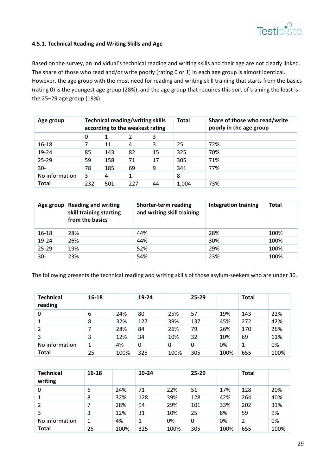

#### **4.5.1. Technical Reading and Writing Skills and Age**

Based on the survey, an individual's technical reading and writing skills and their age are not clearly linked. The share of those who read and/or write poorly (rating 0 or 1) in each age group is almost identical. However, the age group with the most need for reading and writing skill training that starts from the basics (rating 0) is the youngest age group (28%), and the age group that requires this sort of training the least is the 25–29 age group (19%).

| Age group      | <b>Technical reading/writing skills</b><br>according to the weakest rating |     |     |    | <b>Total</b> | Share of those who read/write<br>poorly in the age group |
|----------------|----------------------------------------------------------------------------|-----|-----|----|--------------|----------------------------------------------------------|
|                | $\Omega$                                                                   | 1   | 2   | 3  |              |                                                          |
| 16-18          |                                                                            | 11  | 4   | 3  | 25           | 72%                                                      |
| 19-24          | 85                                                                         | 143 | 82  | 15 | 325          | 70%                                                      |
| 25-29          | 59                                                                         | 158 | 71  | 17 | 305          | 71%                                                      |
| $30-$          | 78                                                                         | 185 | 69  | 9  | 341          | 77%                                                      |
| No information | 3                                                                          | 4   | 1   |    | 8            |                                                          |
| <b>Total</b>   | 232                                                                        | 501 | 227 | 44 | 1,004        | 73%                                                      |

|        | Age group Reading and writing<br>skill training starting<br>from the basics | Shorter-term reading<br>and writing skill training | <b>Integration training</b> | <b>Total</b> |
|--------|-----------------------------------------------------------------------------|----------------------------------------------------|-----------------------------|--------------|
| 16-18  | 28%                                                                         | 44%                                                | 28%                         | 100%         |
| 19-24  | 26%                                                                         | 44%                                                | 30%                         | 100%         |
| 25-29  | 19%                                                                         | 52%                                                | 29%                         | 100%         |
| $30 -$ | 23%                                                                         | 54%                                                | 23%                         | 100%         |

The following presents the technical reading and writing skills of those asylum‐seekers who are under 30.

| <b>Technical</b><br>reading | 16-18 |      | 19-24 |      | $25 - 29$ |      | <b>Total</b> |      |
|-----------------------------|-------|------|-------|------|-----------|------|--------------|------|
| 0                           | 6     | 24%  | 80    | 25%  | 57        | 19%  | 143          | 22%  |
|                             | 8     | 32%  | 127   | 39%  | 137       | 45%  | 272          | 42%  |
|                             |       | 28%  | 84    | 26%  | 79        | 26%  | 170          | 26%  |
| 3                           | 3     | 12%  | 34    | 10%  | 32        | 10%  | 69           | 11%  |
| No information              |       | 4%   | 0     | 0    | 0         | 0%   | 1            | 0%   |
| <b>Total</b>                | 25    | 100% | 325   | 100% | 305       | 100% | 655          | 100% |

| <b>Technical</b><br>writing | $16 - 18$ |      | 19-24 |      | $25 - 29$ |      | <b>Total</b> |      |
|-----------------------------|-----------|------|-------|------|-----------|------|--------------|------|
| 0                           | 6         | 24%  | 71    | 22%  | 51        | 17%  | 128          | 20%  |
|                             | 8         | 32%  | 128   | 39%  | 128       | 42%  | 264          | 40%  |
| 2                           |           | 28%  | 94    | 29%  | 101       | 33%  | 202          | 31%  |
| 3                           | 3         | 12%  | 31    | 10%  | 25        | 8%   | 59           | 9%   |
| No information              |           | 4%   | 1     | 0%   | 0         | 0%   | 2            | 0%   |
| <b>Total</b>                | 25        | 100% | 325   | 100% | 305       | 100% | 655          | 100% |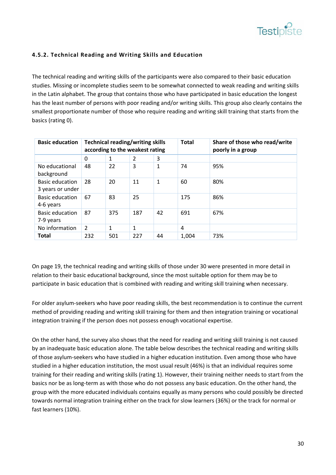

#### **4.5.2. Technical Reading and Writing Skills and Education**

The technical reading and writing skills of the participants were also compared to their basic education studies. Missing or incomplete studies seem to be somewhat connected to weak reading and writing skills in the Latin alphabet. The group that contains those who have participated in basic education the longest has the least number of persons with poor reading and/or writing skills. This group also clearly contains the smallest proportionate number of those who require reading and writing skill training that starts from the basics (rating 0).

| <b>Basic education</b>                     |                |              | <b>Technical reading/writing skills</b><br>according to the weakest rating |    | <b>Total</b> | Share of those who read/write<br>poorly in a group |
|--------------------------------------------|----------------|--------------|----------------------------------------------------------------------------|----|--------------|----------------------------------------------------|
|                                            | $\Omega$       | 1            | 2                                                                          | 3  |              |                                                    |
| No educational<br>background               | 48             | 22           | 3                                                                          | 1  | 74           | 95%                                                |
| <b>Basic education</b><br>3 years or under | 28             | 20           | 11                                                                         | 1  | 60           | 80%                                                |
| <b>Basic education</b><br>4-6 years        | 67             | 83           | 25                                                                         |    | 175          | 86%                                                |
| <b>Basic education</b><br>7-9 years        | 87             | 375          | 187                                                                        | 42 | 691          | 67%                                                |
| No information                             | $\overline{2}$ | $\mathbf{1}$ | 1                                                                          |    | 4            |                                                    |
| <b>Total</b>                               | 232            | 501          | 227                                                                        | 44 | 1,004        | 73%                                                |

On page 19, the technical reading and writing skills of those under 30 were presented in more detail in relation to their basic educational background, since the most suitable option for them may be to participate in basic education that is combined with reading and writing skill training when necessary.

For older asylum‐seekers who have poor reading skills, the best recommendation is to continue the current method of providing reading and writing skill training for them and then integration training or vocational integration training if the person does not possess enough vocational expertise.

On the other hand, the survey also shows that the need for reading and writing skill training is not caused by an inadequate basic education alone. The table below describes the technical reading and writing skills of those asylum‐seekers who have studied in a higher education institution. Even among those who have studied in a higher education institution, the most usual result (46%) is that an individual requires some training for their reading and writing skills (rating 1). However, their training neither needs to start from the basics nor be as long‐term as with those who do not possess any basic education. On the other hand, the group with the more educated individuals contains equally as many persons who could possibly be directed towards normal integration training either on the track for slow learners (36%) or the track for normal or fast learners (10%).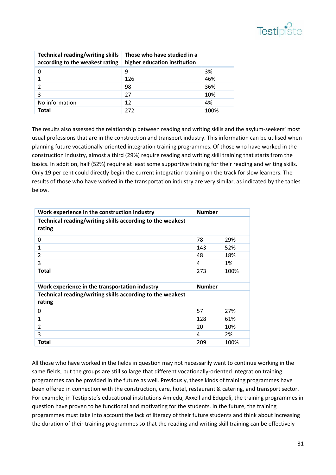

| <b>Technical reading/writing skills</b><br>according to the weakest rating | Those who have studied in a<br>higher education institution |      |
|----------------------------------------------------------------------------|-------------------------------------------------------------|------|
|                                                                            | 9                                                           | 3%   |
|                                                                            | 126                                                         | 46%  |
| $\mathcal{P}$                                                              | 98                                                          | 36%  |
| 3                                                                          | 27                                                          | 10%  |
| No information                                                             | 12                                                          | 4%   |
| <b>Total</b>                                                               | 272                                                         | 100% |

The results also assessed the relationship between reading and writing skills and the asylum‐seekers' most usual professions that are in the construction and transport industry. This information can be utilised when planning future vocationally‐oriented integration training programmes. Of those who have worked in the construction industry, almost a third (29%) require reading and writing skill training that starts from the basics. In addition, half (52%) require at least some supportive training for their reading and writing skills. Only 19 per cent could directly begin the current integration training on the track for slow learners. The results of those who have worked in the transportation industry are very similar, as indicated by the tables below.

| Work experience in the construction industry                        | <b>Number</b> |      |
|---------------------------------------------------------------------|---------------|------|
| Technical reading/writing skills according to the weakest<br>rating |               |      |
| 0                                                                   | 78            | 29%  |
| 1                                                                   | 143           | 52%  |
| 2                                                                   | 48            | 18%  |
| 3                                                                   | 4             | 1%   |
| <b>Total</b>                                                        | 273           | 100% |
|                                                                     |               |      |
| Work experience in the transportation industry                      | <b>Number</b> |      |
| Technical reading/writing skills according to the weakest<br>rating |               |      |
| 0                                                                   | 57            | 27%  |
| 1                                                                   | 128           | 61%  |
| 2                                                                   | 20            | 10%  |
| 3                                                                   | 4             | 2%   |
| Total                                                               | 209           | 100% |

All those who have worked in the fields in question may not necessarily want to continue working in the same fields, but the groups are still so large that different vocationally-oriented integration training programmes can be provided in the future as well. Previously, these kinds of training programmes have been offered in connection with the construction, care, hotel, restaurant & catering, and transport sector. For example, in Testipiste's educational institutions Amiedu, Axxell and Edupoli, the training programmes in question have proven to be functional and motivating for the students. In the future, the training programmes must take into account the lack of literacy of their future students and think about increasing the duration of their training programmes so that the reading and writing skill training can be effectively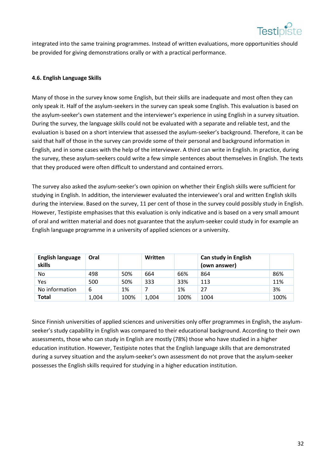

 integrated into the same training programmes. Instead of written evaluations, more opportunities should be provided for giving demonstrations orally or with a practical performance.

#### **4.6. English Language Skills**

Many of those in the survey know some English, but their skills are inadequate and most often they can only speak it. Half of the asylum‐seekers in the survey can speak some English. This evaluation is based on the asylum‐seeker's own statement and the interviewer's experience in using English in a survey situation. During the survey, the language skills could not be evaluated with a separate and reliable test, and the evaluation is based on a short interview that assessed the asylum‐seeker's background. Therefore, it can be said that half of those in the survey can provide some of their personal and background information in English, and in some cases with the help of the interviewer. A third can write in English. In practice, during the survey, these asylum‐seekers could write a few simple sentences about themselves in English. The texts that they produced were often difficult to understand and contained errors.

The survey also asked the asylum‐seeker's own opinion on whether their English skills were sufficient for studying in English. In addition, the interviewer evaluated the interviewee's oral and written English skills during the interview. Based on the survey, 11 per cent of those in the survey could possibly study in English. However, Testipiste emphasises that this evaluation is only indicative and is based on a very small amount of oral and written material and does not guarantee that the asylum‐seeker could study in for example an English language programme in a university of applied sciences or a university.

| <b>English language</b><br>skills | Oral  |      | Written |      | <b>Can study in English</b><br>(own answer) |      |
|-----------------------------------|-------|------|---------|------|---------------------------------------------|------|
| No                                | 498   | 50%  | 664     | 66%  | 864                                         | 86%  |
| Yes                               | 500   | 50%  | 333     | 33%  | 113                                         | 11%  |
| No information                    | 6     | 1%   |         | 1%   | 27                                          | 3%   |
| <b>Total</b>                      | 1,004 | 100% | 1,004   | 100% | 1004                                        | 100% |

Since Finnish universities of applied sciences and universities only offer programmes in English, the asylum‐ seeker's study capability in English was compared to their educational background. According to their own assessments, those who can study in English are mostly (78%) those who have studied in a higher education institution. However, Testipiste notes that the English language skills that are demonstrated during a survey situation and the asylum‐seeker's own assessment do not prove that the asylum‐seeker possesses the English skills required for studying in a higher education institution.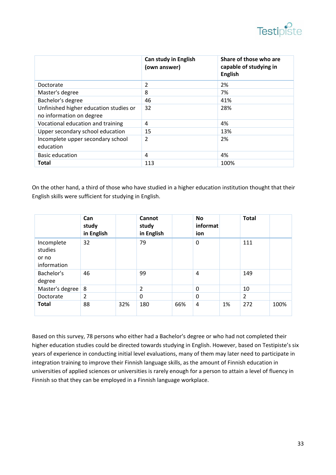

|                                                                    | <b>Can study in English</b><br>(own answer) | Share of those who are<br>capable of studying in<br><b>English</b> |
|--------------------------------------------------------------------|---------------------------------------------|--------------------------------------------------------------------|
| Doctorate                                                          | 2                                           | 2%                                                                 |
| Master's degree                                                    | 8                                           | 7%                                                                 |
| Bachelor's degree                                                  | 46                                          | 41%                                                                |
| Unfinished higher education studies or<br>no information on degree | 32                                          | 28%                                                                |
| Vocational education and training                                  | 4                                           | 4%                                                                 |
| Upper secondary school education                                   | 15                                          | 13%                                                                |
| Incomplete upper secondary school<br>education                     | $\overline{2}$                              | 2%                                                                 |
| <b>Basic education</b>                                             | 4                                           | 4%                                                                 |
| Total                                                              | 113                                         | 100%                                                               |

On the other hand, a third of those who have studied in a higher education institution thought that their English skills were sufficient for studying in English.

|                                               | Can<br>study<br>in English |     | Cannot<br>study<br>in English |     | <b>No</b><br>informat<br>ion |    | <b>Total</b>   |      |
|-----------------------------------------------|----------------------------|-----|-------------------------------|-----|------------------------------|----|----------------|------|
| Incomplete<br>studies<br>or no<br>information | 32                         |     | 79                            |     | 0                            |    | 111            |      |
| Bachelor's<br>degree                          | 46                         |     | 99                            |     | $\overline{4}$               |    | 149            |      |
| Master's degree   8                           |                            |     | 2                             |     | 0                            |    | 10             |      |
| Doctorate                                     | 2                          |     | 0                             |     | 0                            |    | $\overline{2}$ |      |
| <b>Total</b>                                  | 88                         | 32% | 180                           | 66% | $\overline{4}$               | 1% | 272            | 100% |

Based on this survey, 78 persons who either had a Bachelor's degree or who had not completed their higher education studies could be directed towards studying in English. However, based on Testipiste's six years of experience in conducting initial level evaluations, many of them may later need to participate in integration training to improve their Finnish language skills, as the amount of Finnish education in universities of applied sciences or universities is rarely enough for a person to attain a level of fluency in Finnish so that they can be employed in a Finnish language workplace.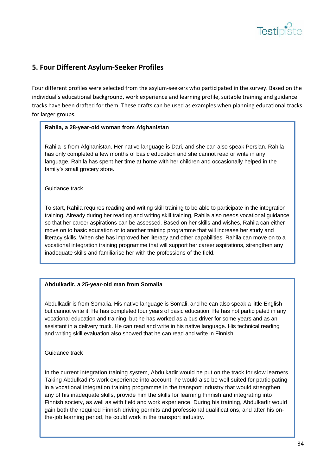

# **5. Four Different Asylum‐Seeker Profiles**

Four different profiles were selected from the asylum-seekers who participated in the survey. Based on the individual's educational background, work experience and learning profile, suitable training and guidance tracks have been drafted for them. These drafts can be used as examples when planning educational tracks for larger groups.

#### **Rahila, a 28-year-old woman from Afghanistan**

 language. Rahila has spent her time at home with her children and occasionally helped in the Rahila is from Afghanistan. Her native language is Dari, and she can also speak Persian. Rahila has only completed a few months of basic education and she cannot read or write in any family's small grocery store.

Guidance track

To start, Rahila requires reading and writing skill training to be able to participate in the integration training. Already during her reading and writing skill training, Rahila also needs vocational guidance so that her career aspirations can be assessed. Based on her skills and wishes, Rahila can either move on to basic education or to another training programme that will increase her study and literacy skills. When she has improved her literacy and other capabilities, Rahila can move on to a vocational integration training programme that will support her career aspirations, strengthen any inadequate skills and familiarise her with the professions of the field.

#### **Abdulkadir, a 25-year-old man from Somalia**

Abdulkadir is from Somalia. His native language is Somali, and he can also speak a little English but cannot write it. He has completed four years of basic education. He has not participated in any vocational education and training, but he has worked as a bus driver for some years and as an assistant in a delivery truck. He can read and write in his native language. His technical reading and writing skill evaluation also showed that he can read and write in Finnish.

Guidance track

In the current integration training system, Abdulkadir would be put on the track for slow learners. Taking Abdulkadir's work experience into account, he would also be well suited for participating in a vocational integration training programme in the transport industry that would strengthen any of his inadequate skills, provide him the skills for learning Finnish and integrating into Finnish society, as well as with field and work experience. During his training, Abdulkadir would gain both the required Finnish driving permits and professional qualifications, and after his onthe-job learning period, he could work in the transport industry.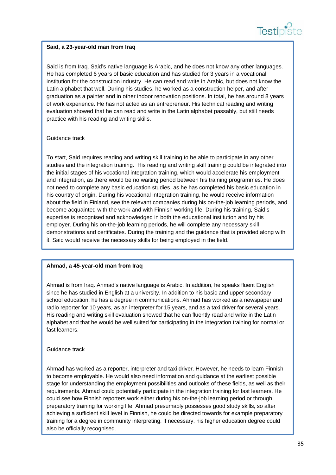

#### **Said, a 23-year-old man from Iraq**

Said is from Iraq. Said's native language is Arabic, and he does not know any other languages. He has completed 6 years of basic education and has studied for 3 years in a vocational institution for the construction industry. He can read and write in Arabic, but does not know the Latin alphabet that well. During his studies, he worked as a construction helper, and after graduation as a painter and in other indoor renovation positions. In total, he has around 8 years of work experience. He has not acted as an entrepreneur. His technical reading and writing evaluation showed that he can read and write in the Latin alphabet passably, but still needs practice with his reading and writing skills.

#### Guidance track

To start, Said requires reading and writing skill training to be able to participate in any other studies and the integration training. His reading and writing skill training could be integrated into the initial stages of his vocational integration training, which would accelerate his employment and integration, as there would be no waiting period between his training programmes. He does not need to complete any basic education studies, as he has completed his basic education in his country of origin. During his vocational integration training, he would receive information about the field in Finland, see the relevant companies during his on-the-job learning periods, and become acquainted with the work and with Finnish working life. During his training, Said's expertise is recognised and acknowledged in both the educational institution and by his employer. During his on-the-job learning periods, he will complete any necessary skill demonstrations and certificates. During the training and the guidance that is provided along with it, Said would receive the necessary skills for being employed in the field.

#### **Ahmad, a 45-year-old man from Iraq**

Ahmad is from Iraq. Ahmad's native language is Arabic. In addition, he speaks fluent English since he has studied in English at a university. In addition to his basic and upper secondary school education, he has a degree in communications. Ahmad has worked as a newspaper and radio reporter for 10 years, as an interpreter for 15 years, and as a taxi driver for several years. His reading and writing skill evaluation showed that he can fluently read and write in the Latin alphabet and that he would be well suited for participating in the integration training for normal or fast learners.

#### Guidance track

Ahmad has worked as a reporter, interpreter and taxi driver. However, he needs to learn Finnish to become employable. He would also need information and guidance at the earliest possible stage for understanding the employment possibilities and outlooks of these fields, as well as their requirements. Ahmad could potentially participate in the integration training for fast learners. He could see how Finnish reporters work either during his on-the-job learning period or through preparatory training for working life. Ahmad presumably possesses good study skills, so after achieving a sufficient skill level in Finnish, he could be directed towards for example preparatory training for a degree in community interpreting. If necessary, his higher education degree could also be officially recognised.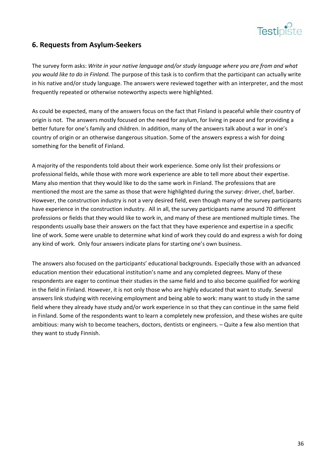

# **6. Requests from Asylum‐Seekers**

The survey form asks: *Write in your native language and/or study language where you are from and what you would like to do in Finland.* The purpose of this task is to confirm that the participant can actually write in his native and/or study language. The answers were reviewed together with an interpreter, and the most frequently repeated or otherwise noteworthy aspects were highlighted.

As could be expected, many of the answers focus on the fact that Finland is peaceful while their country of origin is not. The answers mostly focused on the need for asylum, for living in peace and for providing a better future for one's family and children. In addition, many of the answers talk about a war in one's country of origin or an otherwise dangerous situation. Some of the answers express a wish for doing something for the benefit of Finland.

A majority of the respondents told about their work experience. Some only list their professions or professional fields, while those with more work experience are able to tell more about their expertise. Many also mention that they would like to do the same work in Finland. The professions that are mentioned the most are the same as those that were highlighted during the survey: driver, chef, barber. However, the construction industry is not a very desired field, even though many of the survey participants have experience in the construction industry. All in all, the survey participants name around 70 different professions or fields that they would like to work in, and many of these are mentioned multiple times. The respondents usually base their answers on the fact that they have experience and expertise in a specific line of work. Some were unable to determine what kind of work they could do and express a wish for doing any kind of work. Only four answers indicate plans for starting one's own business.

The answers also focused on the participants' educational backgrounds. Especially those with an advanced education mention their educational institution's name and any completed degrees. Many of these respondents are eager to continue their studies in the same field and to also become qualified for working in the field in Finland. However, it is not only those who are highly educated that want to study. Several answers link studying with receiving employment and being able to work: many want to study in the same field where they already have study and/or work experience in so that they can continue in the same field in Finland. Some of the respondents want to learn a completely new profession, and these wishes are quite ambitious: many wish to become teachers, doctors, dentists or engineers. – Quite a few also mention that they want to study Finnish.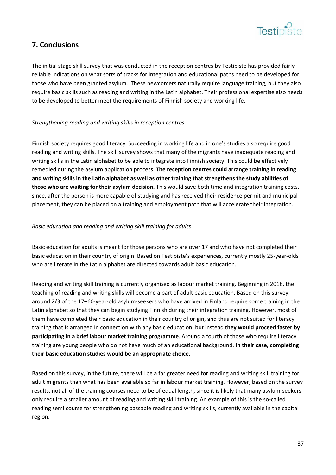

# **7. Conclusions**

The initial stage skill survey that was conducted in the reception centres by Testipiste has provided fairly reliable indications on what sorts of tracks for integration and educational paths need to be developed for those who have been granted asylum. These newcomers naturally require language training, but they also require basic skills such as reading and writing in the Latin alphabet. Their professional expertise also needs to be developed to better meet the requirements of Finnish society and working life.

#### *Strengthening reading and writing skills in reception centres*

Finnish society requires good literacy. Succeeding in working life and in one's studies also require good reading and writing skills. The skill survey shows that many of the migrants have inadequate reading and writing skills in the Latin alphabet to be able to integrate into Finnish society. This could be effectively remedied during the asylum application process. **The reception centres could arrange training in reading** and writing skills in the Latin alphabet as well as other training that strengthens the study abilities of **those who are waiting for their asylum decision.** This would save both time and integration training costs, since, after the person is more capable of studying and has received their residence permit and municipal placement, they can be placed on a training and employment path that will accelerate their integration.

#### *Basic education and reading and writing skill training for adults*

Basic education for adults is meant for those persons who are over 17 and who have not completed their basic education in their country of origin. Based on Testipiste's experiences, currently mostly 25‐year‐olds who are literate in the Latin alphabet are directed towards adult basic education.

Reading and writing skill training is currently organised as labour market training. Beginning in 2018, the teaching of reading and writing skills will become a part of adult basic education. Based on this survey, around 2/3 of the 17–60‐year‐old asylum‐seekers who have arrived in Finland require some training in the Latin alphabet so that they can begin studying Finnish during their integration training. However, most of them have completed their basic education in their country of origin, and thus are not suited for literacy training that is arranged in connection with any basic education, but instead **they would proceed faster by participating in a brief labour market training programme**. Around a fourth of those who require literacy training are young people who do not have much of an educational background. **In their case, completing their basic education studies would be an appropriate choice.**

Based on this survey, in the future, there will be a far greater need for reading and writing skill training for adult migrants than what has been available so far in labour market training. However, based on the survey results, not all of the training courses need to be of equal length, since it is likely that many asylum‐seekers only require a smaller amount of reading and writing skill training. An example of this is the so‐called reading semi course for strengthening passable reading and writing skills, currently available in the capital region.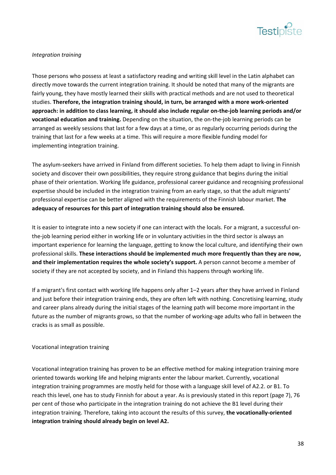

#### *Integration training*

Those persons who possess at least a satisfactory reading and writing skill level in the Latin alphabet can directly move towards the current integration training. It should be noted that many of the migrants are fairly young, they have mostly learned their skills with practical methods and are not used to theoretical studies. **Therefore, the integration training should, in turn, be arranged with a more work‐oriented** approach: in addition to class learning, it should also include regular on-the-job learning periods and/or **vocational education and training.** Depending on the situation, the on‐the‐job learning periods can be arranged as weekly sessions that last for a few days at a time, or as regularly occurring periods during the training that last for a few weeks at a time. This will require a more flexible funding model for implementing integration training.

The asylum-seekers have arrived in Finland from different societies. To help them adapt to living in Finnish society and discover their own possibilities, they require strong guidance that begins during the initial phase of their orientation. Working life guidance, professional career guidance and recognising professional expertise should be included in the integration training from an early stage, so that the adult migrants' professional expertise can be better aligned with the requirements of the Finnish labour market. **The adequacy of resources for this part of integration training should also be ensured.**

It is easier to integrate into a new society if one can interact with the locals. For a migrant, a successful on‐ the-job learning period either in working life or in voluntary activities in the third sector is always an important experience for learning the language, getting to know the local culture, and identifying their own professional skills. **These interactions should be implemented much more frequently than they are now, and their implementation requires the whole society's support.** A person cannot become a member of society if they are not accepted by society, and in Finland this happens through working life.

If a migrant's first contact with working life happens only after 1–2 years after they have arrived in Finland and just before their integration training ends, they are often left with nothing. Concretising learning, study and career plans already during the initial stages of the learning path will become more important in the future as the number of migrants grows, so that the number of working-age adults who fall in between the cracks is as small as possible.

#### Vocational integration training

Vocational integration training has proven to be an effective method for making integration training more oriented towards working life and helping migrants enter the labour market. Currently, vocational integration training programmes are mostly held for those with a language skill level of A2.2. or B1. To reach this level, one has to study Finnish for about a year. As is previously stated in this report (page 7), 76 per cent of those who participate in the integration training do not achieve the B1 level during their integration training. Therefore, taking into account the results of this survey, **the vocationally‐oriented integration training should already begin on level A2.**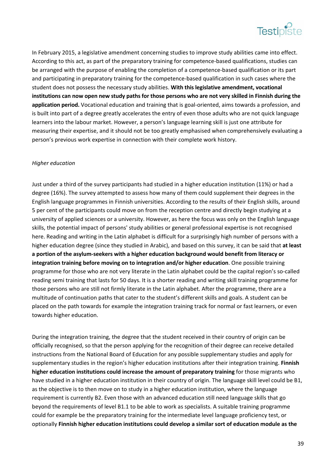

In February 2015, a legislative amendment concerning studies to improve study abilities came into effect. According to this act, as part of the preparatory training for competence‐based qualifications, studies can be arranged with the purpose of enabling the completion of a competence‐based qualification or its part and participating in preparatory training for the competence-based qualification in such cases where the student does not possess the necessary study abilities. **With this legislative amendment, vocational** institutions can now open new study paths for those persons who are not very skilled in Finnish during the **application period.** Vocational education and training that is goal‐oriented, aims towards a profession, and is built into part of a degree greatly accelerates the entry of even those adults who are not quick language learners into the labour market. However, a person's language learning skill is just one attribute for measuring their expertise, and it should not be too greatly emphasised when comprehensively evaluating a person's previous work expertise in connection with their complete work history.

#### *Higher education*

Just under a third of the survey participants had studied in a higher education institution (11%) or had a degree (16%). The survey attempted to assess how many of them could supplement their degrees in the English language programmes in Finnish universities. According to the results of their English skills, around 5 per cent of the participants could move on from the reception centre and directly begin studying at a university of applied sciences or a university. However, as here the focus was only on the English language skills, the potential impact of persons' study abilities or general professional expertise is not recognised here. Reading and writing in the Latin alphabet is difficult for a surprisingly high number of persons with a higher education degree (since they studied in Arabic), and based on this survey, it can be said that **at least a portion of the asylum‐seekers with a higher education background would benefit from literacy or integration training before moving on to integration and/or higher education**. One possible training programme for those who are not very literate in the Latin alphabet could be the capital region's so-called reading semi training that lasts for 50 days. It is a shorter reading and writing skill training programme for those persons who are still not firmly literate in the Latin alphabet. After the programme, there are a multitude of continuation paths that cater to the student's different skills and goals. A student can be placed on the path towards for example the integration training track for normal or fast learners, or even towards higher education.

During the integration training, the degree that the student received in their country of origin can be officially recognised, so that the person applying for the recognition of their degree can receive detailed instructions from the National Board of Education for any possible supplementary studies and apply for supplementary studies in the region's higher education institutions after their integration training. **Finnish higher education institutions could increase the amount of preparatory training** for those migrants who have studied in a higher education institution in their country of origin. The language skill level could be B1, as the objective is to then move on to study in a higher education institution, where the language requirement is currently B2. Even those with an advanced education still need language skills that go beyond the requirements of level B1.1 to be able to work as specialists. A suitable training programme could for example be the preparatory training for the intermediate level language proficiency test, or optionally **Finnish higher education institutions could develop a similar sort of education module as the**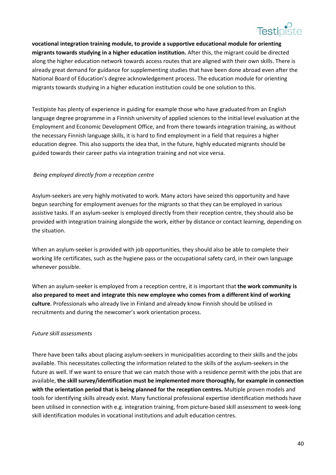

 **vocational integration training module, to provide a supportive educational module for orienting migrants towards studying in a higher education institution.** After this, the migrant could be directed along the higher education network towards access routes that are aligned with their own skills. There is already great demand for guidance for supplementing studies that have been done abroad even after the National Board of Education's degree acknowledgement process. The education module for orienting migrants towards studying in a higher education institution could be one solution to this.

Testipiste has plenty of experience in guiding for example those who have graduated from an English language degree programme in a Finnish university of applied sciences to the initial level evaluation at the Employment and Economic Development Office, and from there towards integration training, as without the necessary Finnish language skills, it is hard to find employment in a field that requires a higher education degree. This also supports the idea that, in the future, highly educated migrants should be guided towards their career paths via integration training and not vice versa.

#### *Being employed directly from a reception centre*

Asylum‐seekers are very highly motivated to work. Many actors have seized this opportunity and have begun searching for employment avenues for the migrants so that they can be employed in various assistive tasks. If an asylum‐seeker is employed directly from their reception centre, they should also be provided with integration training alongside the work, either by distance or contact learning, depending on the situation.

When an asylum-seeker is provided with job opportunities, they should also be able to complete their working life certificates, such as the hygiene pass or the occupational safety card, in their own language whenever possible.

When an asylum‐seeker is employed from a reception centre, it is important that **the work community is also prepared to meet and integrate this new employee who comes from a different kind of working culture**. Professionals who already live in Finland and already know Finnish should be utilised in recruitments and during the newcomer's work orientation process.

#### *Future skill assessments*

There have been talks about placing asylum-seekers in municipalities according to their skills and the jobs available. This necessitates collecting the information related to the skills of the asylum‐seekers in the future as well. If we want to ensure that we can match those with a residence permit with the jobs that are available, **the skill survey/identification must be implemented more thoroughly, for example in connection with the orientation period that is being planned for the reception centres.** Multiple proven models and tools for identifying skills already exist. Many functional professional expertise identification methods have been utilised in connection with e.g. integration training, from picture-based skill assessment to week-long skill identification modules in vocational institutions and adult education centres.